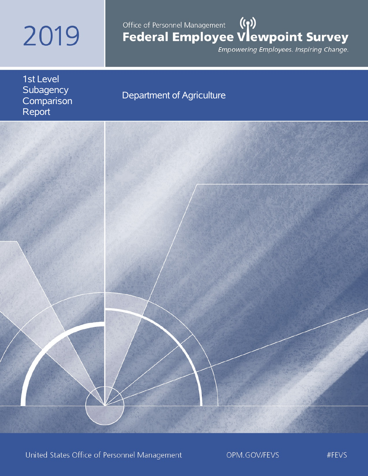# 2019

# Office of Personnel Management ((1))<br>Federal Employee Vlewpoint Survey

Empowering Employees. Inspiring Change.

1st Level **Subagency Comparison** Report

# Department of Agriculture



United States Office of Personnel Management

OPM.GOV/FEVS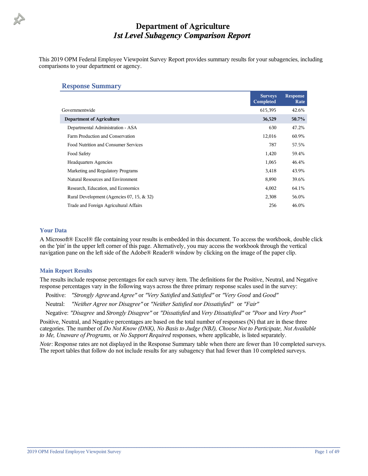This 2019 OPM Federal Employee Viewpoint Survey Report provides summary results for your subagencies, including comparisons to your department or agency.

#### **Response Summary**

|                                           | <b>Surveys</b><br>Completed | <b>Response</b><br>Rate |
|-------------------------------------------|-----------------------------|-------------------------|
| Governmentwide                            | 615,395                     | 42.6%                   |
| <b>Department of Agriculture</b>          | 36,529                      | 50.7%                   |
| Departmental Administration - ASA         | 630                         | 47.2%                   |
| Farm Production and Conservation          | 12,016                      | 60.9%                   |
| Food Nutrition and Consumer Services      | 787                         | 57.5%                   |
| Food Safety                               | 1,420                       | 59.4%                   |
| <b>Headquarters Agencies</b>              | 1,065                       | 46.4%                   |
| Marketing and Regulatory Programs         | 3,418                       | 43.9%                   |
| Natural Resources and Environment         | 8,890                       | 39.6%                   |
| Research, Education, and Economics        | 4,002                       | 64.1%                   |
| Rural Development (Agencies 07, 15, & 32) | 2,308                       | 56.0%                   |
| Trade and Foreign Agricultural Affairs    | 256                         | 46.0%                   |

#### **Your Data**

A Microsoft® Excel® file containing your results is embedded in this document. To access the workbook, double click on the 'pin' in the upper left corner of this page. Alternatively, you may access the workbook through the vertical navigation pane on the left side of the Adobe® Reader® window by clicking on the image of the paper clip.

#### **Main Report Results**

The results include response percentages for each survey item. The definitions for the Positive, Neutral, and Negative response percentages vary in the following ways across the three primary response scales used in the survey:

Positive: *"Strongly Agree* and *Agree"* or *"Very Satisfied* and *Satisfied"* or *"Very Good* and *Good"*

Neutral: *"Neither Agree nor Disagree"* or *"Neither Satisfied nor Dissatisfied"* or *"Fair"*

Negative: *"Disagree* and *Strongly Disagree"* or *"Dissatisfied* and *Very Dissatisfied"* or *"Poor* and *Very Poor"*

Positive, Neutral, and Negative percentages are based on the total number of responses (N) that are in these three categories. The number of *Do Not Know (DNK), No Basis to Judge (NBJ), Choose Not to Participate, Not Available to Me, Unaware of Programs,* or *No Support Required* responses, where applicable, is listed separately.

*Note*: Response rates are not displayed in the Response Summary table when there are fewer than 10 completed surveys. The report tables that follow do not include results for any subagency that had fewer than 10 completed surveys.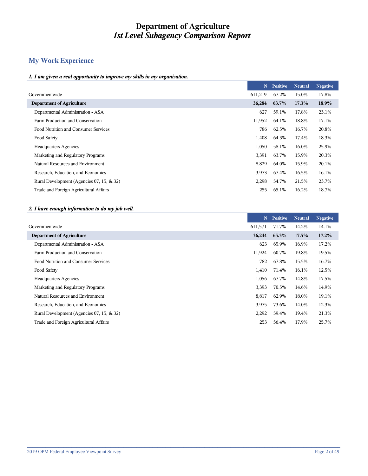# **My Work Experience**

#### *1. I am given a real opportunity to improve my skills in my organization.*

|                                           | N       | <b>Positive</b> | <b>Neutral</b> | <b>Negative</b> |
|-------------------------------------------|---------|-----------------|----------------|-----------------|
| Governmentwide                            | 611,219 | 67.2%           | 15.0%          | 17.8%           |
| <b>Department of Agriculture</b>          | 36,284  | 63.7%           | 17.3%          | 18.9%           |
| Departmental Administration - ASA         | 627     | 59.1%           | 17.8%          | 23.1%           |
| Farm Production and Conservation          | 11,952  | 64.1%           | 18.8%          | 17.1%           |
| Food Nutrition and Consumer Services      | 786     | 62.5%           | 16.7%          | 20.8%           |
| Food Safety                               | 1,408   | 64.3%           | 17.4%          | 18.3%           |
| <b>Headquarters Agencies</b>              | 1,050   | 58.1%           | 16.0%          | 25.9%           |
| Marketing and Regulatory Programs         | 3,391   | 63.7%           | 15.9%          | 20.3%           |
| Natural Resources and Environment         | 8,829   | 64.0%           | 15.9%          | 20.1%           |
| Research, Education, and Economics        | 3,973   | 67.4%           | 16.5%          | 16.1%           |
| Rural Development (Agencies 07, 15, & 32) | 2,298   | 54.7%           | 21.5%          | 23.7%           |
| Trade and Foreign Agricultural Affairs    | 255     | 65.1%           | 16.2%          | 18.7%           |
|                                           |         |                 |                |                 |

#### *2. I have enough information to do my job well.*

|                                           | $\mathbf N$ | <b>Positive</b> | <b>Neutral</b> | <b>Negative</b> |
|-------------------------------------------|-------------|-----------------|----------------|-----------------|
|                                           | 611,571     | 71.7%           | 14.2%          | 14.1%           |
|                                           | 36,244      | 65.3%           | 17.5%          | $17.2\%$        |
| Departmental Administration - ASA         | 623         | 65.9%           | 16.9%          | 17.2%           |
| Farm Production and Conservation          | 11,924      | 60.7%           | 19.8%          | 19.5%           |
| Food Nutrition and Consumer Services      | 782         | 67.8%           | 15.5%          | 16.7%           |
|                                           | 1,410       | 71.4%           | 16.1%          | 12.5%           |
| <b>Headquarters Agencies</b>              | 1,056       | 67.7%           | 14.8%          | 17.5%           |
| Marketing and Regulatory Programs         | 3,393       | 70.5%           | 14.6%          | 14.9%           |
| Natural Resources and Environment         | 8,817       | 62.9%           | 18.0%          | 19.1%           |
| Research, Education, and Economics        | 3,975       | 73.6%           | 14.0%          | 12.3%           |
| Rural Development (Agencies 07, 15, & 32) | 2,292       | 59.4%           | 19.4%          | 21.3%           |
| Trade and Foreign Agricultural Affairs    | 253         | 56.4%           | 17.9%          | 25.7%           |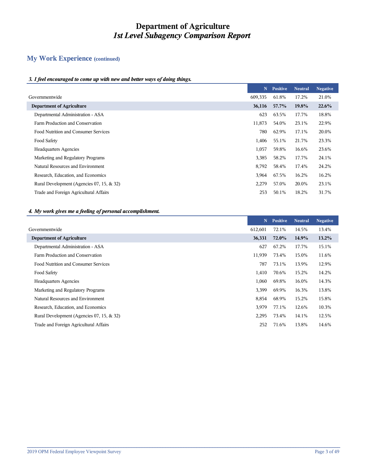# **My Work Experience (continued)**

#### *3. I feel encouraged to come up with new and better ways of doing things.*

|                                           | N       | <b>Positive</b> | <b>Neutral</b> | <b>Negative</b> |
|-------------------------------------------|---------|-----------------|----------------|-----------------|
| Governmentwide                            | 609,335 | 61.8%           | 17.2%          | 21.0%           |
| <b>Department of Agriculture</b>          | 36,116  | 57.7%           | 19.8%          | 22.6%           |
| Departmental Administration - ASA         | 623     | 63.5%           | 17.7%          | 18.8%           |
| Farm Production and Conservation          | 11,873  | 54.0%           | 23.1%          | 22.9%           |
| Food Nutrition and Consumer Services      | 780     | 62.9%           | 17.1%          | 20.0%           |
| Food Safety                               | 1,406   | 55.1%           | 21.7%          | 23.3%           |
| <b>Headquarters Agencies</b>              | 1,057   | 59.8%           | 16.6%          | 23.6%           |
| Marketing and Regulatory Programs         | 3,385   | 58.2%           | 17.7%          | 24.1%           |
| Natural Resources and Environment         | 8,792   | 58.4%           | 17.4%          | 24.2%           |
| Research, Education, and Economics        | 3,964   | 67.5%           | 16.2%          | 16.2%           |
| Rural Development (Agencies 07, 15, & 32) | 2,279   | 57.0%           | 20.0%          | 23.1%           |
| Trade and Foreign Agricultural Affairs    | 253     | 50.1%           | 18.2%          | 31.7%           |

#### *4. My work gives me a feeling of personal accomplishment.*

|                                           | N       | <b>Positive</b> | <b>Neutral</b> | <b>Negative</b> |
|-------------------------------------------|---------|-----------------|----------------|-----------------|
| Governmentwide                            | 612,601 | 72.1%           | 14.5%          | 13.4%           |
| <b>Department of Agriculture</b>          | 36,331  | 72.0%           | 14.9%          | $13.2\%$        |
| Departmental Administration - ASA         | 627     | 67.2%           | 17.7%          | 15.1%           |
| Farm Production and Conservation          | 11,939  | 73.4%           | 15.0%          | 11.6%           |
| Food Nutrition and Consumer Services      | 787     | 73.1%           | 13.9%          | 12.9%           |
| Food Safety                               | 1,410   | 70.6%           | 15.2%          | 14.2%           |
| <b>Headquarters Agencies</b>              | 1,060   | 69.8%           | 16.0%          | 14.3%           |
| Marketing and Regulatory Programs         | 3,399   | 69.9%           | 16.3%          | 13.8%           |
| Natural Resources and Environment         | 8,854   | 68.9%           | 15.2%          | 15.8%           |
| Research, Education, and Economics        | 3,979   | 77.1%           | 12.6%          | 10.3%           |
| Rural Development (Agencies 07, 15, & 32) | 2,295   | 73.4%           | 14.1%          | 12.5%           |
| Trade and Foreign Agricultural Affairs    | 252     | 71.6%           | 13.8%          | 14.6%           |
|                                           |         |                 |                |                 |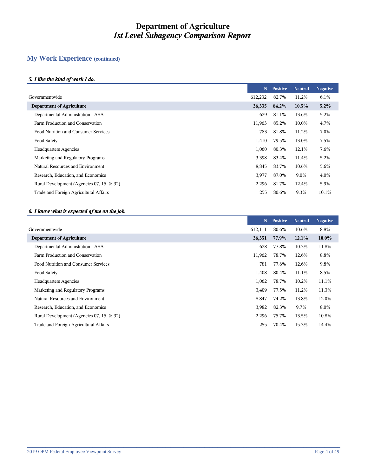# **My Work Experience (continued)**

#### *5. I like the kind of work I do.*

|                                           | N       | <b>Positive</b> | <b>Neutral</b> | <b>Negative</b> |
|-------------------------------------------|---------|-----------------|----------------|-----------------|
|                                           | 612,232 | 82.7%           | 11.2%          | 6.1%            |
| <b>Department of Agriculture</b>          | 36,335  | 84.2%           | 10.5%          | 5.2%            |
| Departmental Administration - ASA         | 629     | 81.1%           | 13.6%          | 5.2%            |
| Farm Production and Conservation          | 11,963  | 85.2%           | 10.0%          | 4.7%            |
| Food Nutrition and Consumer Services      | 783     | 81.8%           | 11.2%          | 7.0%            |
|                                           | 1,410   | 79.5%           | 13.0%          | 7.5%            |
| <b>Headquarters Agencies</b>              | 1,060   | 80.3%           | 12.1%          | 7.6%            |
| Marketing and Regulatory Programs         | 3,398   | 83.4%           | 11.4%          | 5.2%            |
| Natural Resources and Environment         | 8,845   | 83.7%           | 10.6%          | 5.6%            |
| Research, Education, and Economics        | 3,977   | 87.0%           | 9.0%           | 4.0%            |
| Rural Development (Agencies 07, 15, & 32) | 2,296   | 81.7%           | 12.4%          | 5.9%            |
| Trade and Foreign Agricultural Affairs    | 255     | 80.6%           | 9.3%           | 10.1%           |
|                                           |         |                 |                |                 |

#### *6. I know what is expected of me on the job.*

|                                           | N       | <b>Positive</b> | <b>Neutral</b> | <b>Negative</b> |
|-------------------------------------------|---------|-----------------|----------------|-----------------|
| Governmentwide                            | 612,111 | 80.6%           | 10.6%          | 8.8%            |
| <b>Department of Agriculture</b>          | 36,351  | 77.9%           | 12.1%          | $10.0\%$        |
| Departmental Administration - ASA         | 628     | 77.8%           | 10.3%          | 11.8%           |
| Farm Production and Conservation          | 11,962  | 78.7%           | 12.6%          | 8.8%            |
| Food Nutrition and Consumer Services      | 781     | 77.6%           | 12.6%          | 9.8%            |
| Food Safety                               | 1,408   | 80.4%           | 11.1%          | 8.5%            |
| <b>Headquarters Agencies</b>              | 1,062   | 78.7%           | 10.2%          | 11.1%           |
| Marketing and Regulatory Programs         | 3,409   | 77.5%           | 11.2%          | 11.3%           |
| Natural Resources and Environment         | 8,847   | 74.2%           | 13.8%          | 12.0%           |
| Research, Education, and Economics        | 3,982   | 82.3%           | 9.7%           | 8.0%            |
| Rural Development (Agencies 07, 15, & 32) | 2,296   | 75.7%           | 13.5%          | 10.8%           |
| Trade and Foreign Agricultural Affairs    | 255     | 70.4%           | 15.3%          | 14.4%           |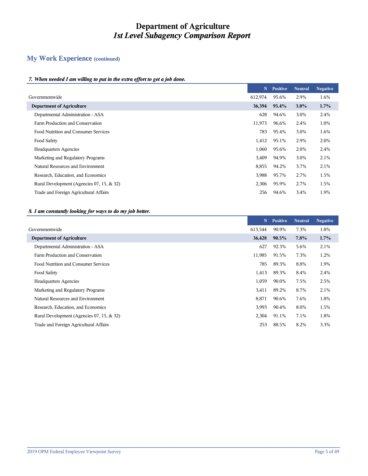# **My Work Experience (continued)**

#### *7. When needed I am willing to put in the extra effort to get a job done.*

|                                           | N       | <b>Positive</b> | <b>Neutral</b> | <b>Negative</b> |
|-------------------------------------------|---------|-----------------|----------------|-----------------|
| Governmentwide                            | 612,974 | 95.6%           | 2.9%           | 1.6%            |
| <b>Department of Agriculture</b>          | 36,394  | 95.4%           | $3.0\%$        | 1.7%            |
| Departmental Administration - ASA         | 628     | 94.6%           | 3.0%           | 2.4%            |
| Farm Production and Conservation          | 11,973  | 96.6%           | 2.4%           | 1.0%            |
| Food Nutrition and Consumer Services      | 783     | 95.4%           | 3.0%           | 1.6%            |
| Food Safety                               | 1,412   | 95.1%           | 2.9%           | 2.0%            |
| <b>Headquarters Agencies</b>              | 1,060   | 95.6%           | 2.0%           | 2.4%            |
| Marketing and Regulatory Programs         | 3,409   | 94.9%           | 3.0%           | 2.1%            |
| Natural Resources and Environment         | 8,855   | 94.2%           | 3.7%           | 2.1%            |
| Research, Education, and Economics        | 3,988   | 95.7%           | 2.7%           | 1.5%            |
| Rural Development (Agencies 07, 15, & 32) | 2,306   | 95.9%           | 2.7%           | 1.5%            |
| Trade and Foreign Agricultural Affairs    | 256     | 94.6%           | 3.4%           | 1.9%            |
|                                           |         |                 |                |                 |

#### *8. I am constantly looking for ways to do my job better.*

|                                           | N       | <b>Positive</b> | <b>Neutral</b> | <b>Negative</b> |
|-------------------------------------------|---------|-----------------|----------------|-----------------|
|                                           | 613,544 | 90.9%           | 7.3%           | 1.8%            |
| <b>Department of Agriculture</b>          | 36,428  | $90.5\%$        | 7.8%           | $1.7\%$         |
| Departmental Administration - ASA         | 627     | 92.3%           | 5.6%           | 2.1%            |
| Farm Production and Conservation          | 11,985  | 91.5%           | 7.3%           | 1.2%            |
| Food Nutrition and Consumer Services      | 785     | 89.3%           | 8.8%           | 1.9%            |
|                                           | 1,413   | 89.3%           | 8.4%           | 2.4%            |
| <b>Headquarters Agencies</b>              | 1,059   | 90.0%           | 7.5%           | 2.5%            |
| Marketing and Regulatory Programs         | 3,411   | 89.2%           | 8.7%           | 2.1%            |
| Natural Resources and Environment         | 8,871   | 90.6%           | 7.6%           | 1.8%            |
| Research, Education, and Economics        | 3,993   | 90.4%           | 8.0%           | 1.5%            |
| Rural Development (Agencies 07, 15, & 32) | 2,304   | 91.1%           | 7.1%           | 1.8%            |
| Trade and Foreign Agricultural Affairs    | 253     | 88.5%           | 8.2%           | 3.3%            |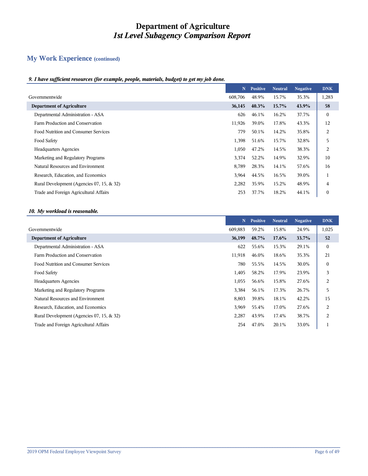# **My Work Experience (continued)**

#### *9. I have sufficient resources (for example, people, materials, budget) to get my job done.*

|                                           | N       | <b>Positive</b> | <b>Neutral</b> | <b>Negative</b> | <b>DNK</b> |
|-------------------------------------------|---------|-----------------|----------------|-----------------|------------|
| Governmentwide                            | 608,706 | 48.9%           | 15.7%          | 35.3%           | 1,283      |
| <b>Department of Agriculture</b>          | 36,145  | 40.3%           | 15.7%          | 43.9%           | 58         |
| Departmental Administration - ASA         | 626     | 46.1%           | 16.2%          | 37.7%           | $\theta$   |
| Farm Production and Conservation          | 11,926  | 39.0%           | 17.8%          | 43.3%           | 12         |
| Food Nutrition and Consumer Services      | 779     | 50.1%           | 14.2%          | 35.8%           | 2          |
| Food Safety                               | 1,398   | 51.6%           | 15.7%          | 32.8%           | 5          |
| <b>Headquarters Agencies</b>              | 1,050   | 47.2%           | 14.5%          | 38.3%           | 2          |
| Marketing and Regulatory Programs         | 3,374   | 52.2%           | 14.9%          | 32.9%           | 10         |
| Natural Resources and Environment         | 8,789   | 28.3%           | 14.1%          | 57.6%           | 16         |
| Research, Education, and Economics        | 3,964   | 44.5%           | 16.5%          | 39.0%           |            |
| Rural Development (Agencies 07, 15, & 32) | 2,282   | 35.9%           | 15.2%          | 48.9%           | 4          |
| Trade and Foreign Agricultural Affairs    | 253     | 37.7%           | 18.2%          | 44.1%           | $\theta$   |

#### *10. My workload is reasonable.*

|                                           | N       | <b>Positive</b> | <b>Neutral</b> | <b>Negative</b> | <b>DNK</b>       |
|-------------------------------------------|---------|-----------------|----------------|-----------------|------------------|
| Governmentwide                            | 609.883 | 59.2%           | 15.8%          | 24.9%           | 1,025            |
| <b>Department of Agriculture</b>          | 36,199  | 48.7%           | $17.6\%$       | 33.7%           | 52               |
| Departmental Administration - ASA         | 622     | 55.6%           | 15.3%          | 29.1%           | $\mathbf{0}$     |
| Farm Production and Conservation          | 11,918  | 46.0%           | 18.6%          | 35.3%           | 21               |
| Food Nutrition and Consumer Services      | 780     | 55.5%           | 14.5%          | 30.0%           | $\boldsymbol{0}$ |
| Food Safety                               | 1,405   | 58.2%           | 17.9%          | 23.9%           | 3                |
| <b>Headquarters Agencies</b>              | 1,055   | 56.6%           | 15.8%          | 27.6%           | 2                |
| Marketing and Regulatory Programs         | 3,384   | 56.1%           | 17.3%          | 26.7%           | 5                |
| Natural Resources and Environment         | 8,803   | 39.8%           | 18.1%          | 42.2%           | 15               |
| Research, Education, and Economics        | 3,969   | 55.4%           | 17.0%          | 27.6%           | $\overline{c}$   |
| Rural Development (Agencies 07, 15, & 32) | 2,287   | 43.9%           | 17.4%          | 38.7%           | 2                |
| Trade and Foreign Agricultural Affairs    | 254     | 47.0%           | 20.1%          | 33.0%           |                  |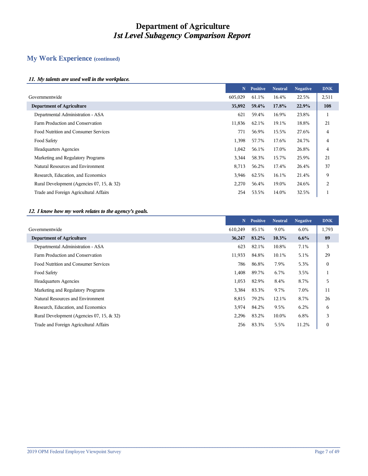# **My Work Experience (continued)**

#### *11. My talents are used well in the workplace.*

|                                           | N       | <b>Positive</b> | <b>Neutral</b> | <b>Negative</b> | <b>DNK</b> |
|-------------------------------------------|---------|-----------------|----------------|-----------------|------------|
| Governmentwide                            | 605,029 | 61.1%           | 16.4%          | 22.5%           | 2,511      |
| <b>Department of Agriculture</b>          | 35,892  | 59.4%           | 17.8%          | 22.9%           | 108        |
| Departmental Administration - ASA         | 621     | 59.4%           | 16.9%          | 23.8%           | н          |
| Farm Production and Conservation          | 11,836  | 62.1%           | 19.1%          | 18.8%           | 21         |
| Food Nutrition and Consumer Services      | 771     | 56.9%           | 15.5%          | 27.6%           | 4          |
| Food Safety                               | 1,398   | 57.7%           | 17.6%          | 24.7%           | 4          |
| <b>Headquarters Agencies</b>              | 1,042   | 56.1%           | 17.0%          | 26.8%           | 4          |
| Marketing and Regulatory Programs         | 3,344   | 58.3%           | 15.7%          | 25.9%           | 21         |
| Natural Resources and Environment         | 8,713   | 56.2%           | 17.4%          | 26.4%           | 37         |
| Research, Education, and Economics        | 3,946   | 62.5%           | 16.1%          | 21.4%           | 9          |
| Rural Development (Agencies 07, 15, & 32) | 2,270   | 56.4%           | 19.0%          | 24.6%           | 2          |
| Trade and Foreign Agricultural Affairs    | 254     | 53.5%           | 14.0%          | 32.5%           |            |
|                                           |         |                 |                |                 |            |

#### *12. I know how my work relates to the agency's goals.*

|                                           | N       | <b>Positive</b> | <b>Neutral</b> | <b>Negative</b> | <b>DNK</b>       |
|-------------------------------------------|---------|-----------------|----------------|-----------------|------------------|
| Governmentwide                            | 610,249 | 85.1%           | 9.0%           | 6.0%            | 1,793            |
| <b>Department of Agriculture</b>          | 36,247  | 83.2%           | 10.3%          | $6.6\%$         | 89               |
| Departmental Administration - ASA         | 623     | 82.1%           | 10.8%          | 7.1%            | 3                |
| Farm Production and Conservation          | 11,933  | 84.8%           | 10.1%          | 5.1%            | 29               |
| Food Nutrition and Consumer Services      | 786     | 86.8%           | 7.9%           | 5.3%            | $\boldsymbol{0}$ |
| Food Safety                               | 1,408   | 89.7%           | 6.7%           | 3.5%            |                  |
| <b>Headquarters Agencies</b>              | 1,053   | 82.9%           | 8.4%           | 8.7%            | 5                |
| Marketing and Regulatory Programs         | 3,384   | 83.3%           | 9.7%           | 7.0%            | 11               |
| Natural Resources and Environment         | 8,815   | 79.2%           | 12.1%          | 8.7%            | 26               |
| Research, Education, and Economics        | 3,974   | 84.2%           | 9.5%           | 6.2%            | 6                |
| Rural Development (Agencies 07, 15, & 32) | 2,296   | 83.2%           | 10.0%          | 6.8%            | 3                |
| Trade and Foreign Agricultural Affairs    | 256     | 83.3%           | 5.5%           | 11.2%           | $\overline{0}$   |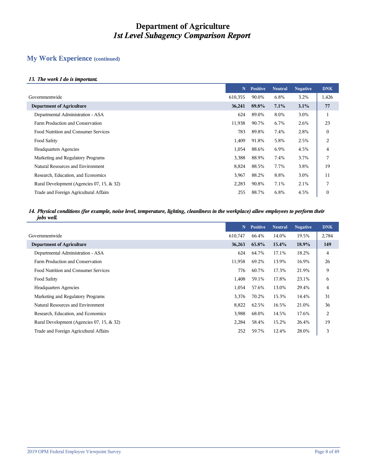## **My Work Experience (continued)**

#### *13. The work I do is important.*

|                                           | N       | <b>Positive</b> | <b>Neutral</b> | <b>Negative</b> | <b>DNK</b> |
|-------------------------------------------|---------|-----------------|----------------|-----------------|------------|
| Governmentwide                            | 610,355 | 90.0%           | 6.8%           | 3.2%            | 1,426      |
| <b>Department of Agriculture</b>          | 36,241  | 89.8%           | 7.1%           | 3.1%            | 77         |
| Departmental Administration - ASA         | 624     | 89.0%           | 8.0%           | 3.0%            |            |
| Farm Production and Conservation          | 11,938  | 90.7%           | 6.7%           | 2.6%            | 23         |
| Food Nutrition and Consumer Services      | 783     | 89.8%           | 7.4%           | 2.8%            | 0          |
| Food Safety                               | 1,409   | 91.8%           | 5.8%           | 2.5%            | 2          |
| <b>Headquarters Agencies</b>              | 1,054   | 88.6%           | 6.9%           | 4.5%            | 4          |
| Marketing and Regulatory Programs         | 3,388   | 88.9%           | 7.4%           | 3.7%            | 7          |
| Natural Resources and Environment         | 8,824   | 88.5%           | 7.7%           | 3.8%            | 19         |
| Research, Education, and Economics        | 3,967   | 88.2%           | 8.8%           | 3.0%            | 11         |
| Rural Development (Agencies 07, 15, & 32) | 2,283   | 90.8%           | 7.1%           | 2.1%            | 7          |
| Trade and Foreign Agricultural Affairs    | 255     | 88.7%           | 6.8%           | 4.5%            | 0          |

#### *14. Physical conditions (for example, noise level, temperature, lighting, cleanliness in the workplace) allow employees to perform their jobs well.*

|                                           | N       | <b>Positive</b> | <b>Neutral</b> | <b>Negative</b> | <b>DNK</b>     |
|-------------------------------------------|---------|-----------------|----------------|-----------------|----------------|
| Governmentwide                            | 610,747 | 66.4%           | 14.0%          | 19.5%           | 2,784          |
| <b>Department of Agriculture</b>          | 36,263  | 65.8%           | $15.4\%$       | 18.9%           | 149            |
| Departmental Administration - ASA         | 624     | 64.7%           | 17.1%          | 18.2%           | 4              |
| Farm Production and Conservation          | 11,958  | 69.2%           | 13.9%          | 16.9%           | 26             |
| Food Nutrition and Consumer Services      | 776     | 60.7%           | 17.3%          | 21.9%           | 9              |
| Food Safety                               | 1,408   | 59.1%           | 17.8%          | 23.1%           | 6              |
| <b>Headquarters Agencies</b>              | 1,054   | 57.6%           | 13.0%          | 29.4%           | 4              |
| Marketing and Regulatory Programs         | 3,376   | 70.2%           | 15.3%          | 14.4%           | 31             |
| Natural Resources and Environment         | 8,822   | 62.5%           | 16.5%          | 21.0%           | 36             |
| Research, Education, and Economics        | 3,988   | 68.0%           | 14.5%          | 17.6%           | $\overline{2}$ |
| Rural Development (Agencies 07, 15, & 32) | 2,284   | 58.4%           | 15.2%          | 26.4%           | 19             |
| Trade and Foreign Agricultural Affairs    | 252     | 59.7%           | 12.4%          | 28.0%           | 3              |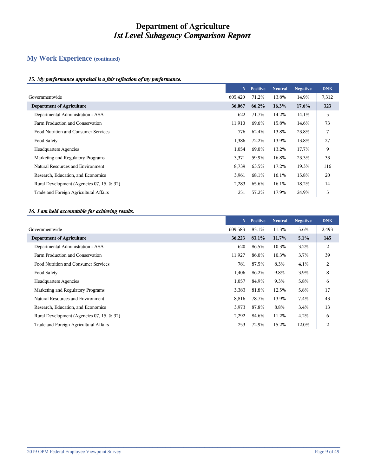# **My Work Experience (continued)**

#### *15. My performance appraisal is a fair reflection of my performance.*

|                                           | N       | <b>Positive</b> | <b>Neutral</b> | <b>Negative</b> | <b>DNK</b> |
|-------------------------------------------|---------|-----------------|----------------|-----------------|------------|
| Governmentwide                            | 605,420 | 71.2%           | 13.8%          | 14.9%           | 7,312      |
| <b>Department of Agriculture</b>          | 36,067  | 66.2%           | 16.3%          | 17.6%           | 323        |
| Departmental Administration - ASA         | 622     | 71.7%           | 14.2%          | 14.1%           | 5          |
| Farm Production and Conservation          | 11,910  | 69.6%           | 15.8%          | 14.6%           | 73         |
| Food Nutrition and Consumer Services      | 776     | 62.4%           | 13.8%          | 23.8%           | 7          |
| Food Safety                               | 1,386   | 72.2%           | 13.9%          | 13.8%           | 27         |
| <b>Headquarters Agencies</b>              | 1,054   | 69.0%           | 13.2%          | 17.7%           | 9          |
| Marketing and Regulatory Programs         | 3,371   | 59.9%           | 16.8%          | 23.3%           | 33         |
| Natural Resources and Environment         | 8,739   | 63.5%           | 17.2%          | 19.3%           | 116        |
| Research, Education, and Economics        | 3,961   | 68.1%           | 16.1%          | 15.8%           | 20         |
| Rural Development (Agencies 07, 15, & 32) | 2,283   | 65.6%           | 16.1%          | 18.2%           | 14         |
| Trade and Foreign Agricultural Affairs    | 251     | 57.2%           | 17.9%          | 24.9%           | 5          |

#### *16. I am held accountable for achieving results.*

|                                           | N       | <b>Positive</b> | <b>Neutral</b> | <b>Negative</b> | <b>DNK</b>     |
|-------------------------------------------|---------|-----------------|----------------|-----------------|----------------|
| Governmentwide                            | 609,583 | 83.1%           | 11.3%          | 5.6%            | 2,493          |
| <b>Department of Agriculture</b>          | 36,223  | 83.1%           | 11.7%          | 5.1%            | 145            |
| Departmental Administration - ASA         | 620     | 86.5%           | 10.3%          | 3.2%            | $\overline{2}$ |
| Farm Production and Conservation          | 11,927  | 86.0%           | 10.3%          | 3.7%            | 39             |
| Food Nutrition and Consumer Services      | 781     | 87.5%           | 8.3%           | 4.1%            | 2              |
| Food Safety                               | 1,406   | 86.2%           | 9.8%           | 3.9%            | 8              |
| <b>Headquarters Agencies</b>              | 1,057   | 84.9%           | 9.3%           | 5.8%            | 6              |
| Marketing and Regulatory Programs         | 3,383   | 81.8%           | 12.5%          | 5.8%            | 17             |
| Natural Resources and Environment         | 8,816   | 78.7%           | 13.9%          | 7.4%            | 43             |
| Research, Education, and Economics        | 3,973   | 87.8%           | 8.8%           | 3.4%            | 13             |
| Rural Development (Agencies 07, 15, & 32) | 2,292   | 84.6%           | 11.2%          | 4.2%            | 6              |
| Trade and Foreign Agricultural Affairs    | 253     | 72.9%           | 15.2%          | 12.0%           | $\overline{2}$ |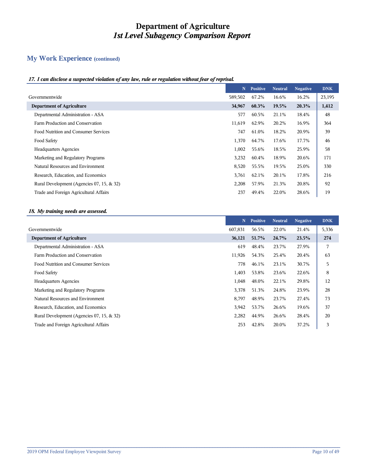# **My Work Experience (continued)**

#### *17. I can disclose a suspected violation of any law, rule or regulation without fear of reprisal.*

|                                           | N       | <b>Positive</b> | <b>Neutral</b> | <b>Negative</b> | <b>DNK</b> |
|-------------------------------------------|---------|-----------------|----------------|-----------------|------------|
| Governmentwide                            | 589,502 | 67.2%           | 16.6%          | 16.2%           | 23,195     |
| <b>Department of Agriculture</b>          | 34,967  | 60.3%           | 19.5%          | 20.3%           | 1,412      |
| Departmental Administration - ASA         | 577     | 60.5%           | 21.1%          | 18.4%           | 48         |
| Farm Production and Conservation          | 11,619  | 62.9%           | 20.2%          | 16.9%           | 364        |
| Food Nutrition and Consumer Services      | 747     | 61.0%           | 18.2%          | 20.9%           | 39         |
| Food Safety                               | 1,370   | 64.7%           | 17.6%          | 17.7%           | 46         |
| <b>Headquarters Agencies</b>              | 1,002   | 55.6%           | 18.5%          | 25.9%           | 58         |
| Marketing and Regulatory Programs         | 3,232   | 60.4%           | 18.9%          | 20.6%           | 171        |
| Natural Resources and Environment         | 8,520   | 55.5%           | 19.5%          | 25.0%           | 330        |
| Research, Education, and Economics        | 3,761   | 62.1%           | 20.1%          | 17.8%           | 216        |
| Rural Development (Agencies 07, 15, & 32) | 2,208   | 57.9%           | 21.3%          | 20.8%           | 92         |
| Trade and Foreign Agricultural Affairs    | 237     | 49.4%           | 22.0%          | 28.6%           | 19         |

#### *18. My training needs are assessed.*

|                                           | N       | <b>Positive</b> | <b>Neutral</b> | <b>Negative</b> | <b>DNK</b> |
|-------------------------------------------|---------|-----------------|----------------|-----------------|------------|
| Governmentwide                            | 607,831 | 56.5%           | 22.0%          | 21.4%           | 5,336      |
| <b>Department of Agriculture</b>          | 36,121  | 51.7%           | 24.7%          | 23.5%           | 274        |
| Departmental Administration - ASA         | 619     | 48.4%           | 23.7%          | 27.9%           | 7          |
| Farm Production and Conservation          | 11,926  | 54.3%           | 25.4%          | 20.4%           | 63         |
| Food Nutrition and Consumer Services      | 778     | 46.1%           | 23.1%          | 30.7%           | 5          |
| Food Safety                               | 1,403   | 53.8%           | 23.6%          | 22.6%           | 8          |
| <b>Headquarters Agencies</b>              | 1,048   | 48.0%           | 22.1%          | 29.8%           | 12         |
| Marketing and Regulatory Programs         | 3,378   | 51.3%           | 24.8%          | 23.9%           | 28         |
| Natural Resources and Environment         | 8,797   | 48.9%           | 23.7%          | 27.4%           | 73         |
| Research, Education, and Economics        | 3,942   | 53.7%           | 26.6%          | 19.6%           | 37         |
| Rural Development (Agencies 07, 15, & 32) | 2,282   | 44.9%           | 26.6%          | 28.4%           | 20         |
| Trade and Foreign Agricultural Affairs    | 253     | 42.8%           | 20.0%          | 37.2%           | 3          |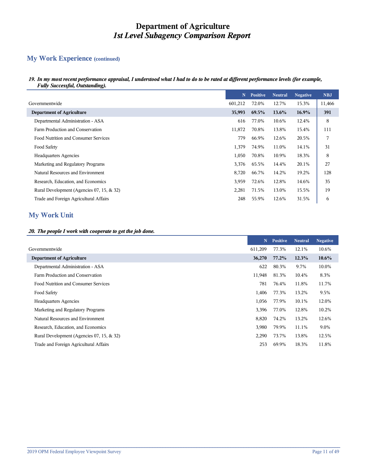## **My Work Experience (continued)**

*19. In my most recent performance appraisal, I understood what I had to do to be rated at different performance levels (for example, Fully Successful, Outstanding).*

|                                           | N       | <b>Positive</b> | <b>Neutral</b> | <b>Negative</b> | <b>NBJ</b> |
|-------------------------------------------|---------|-----------------|----------------|-----------------|------------|
| Governmentwide                            | 601,212 | 72.0%           | 12.7%          | 15.3%           | 11,466     |
| <b>Department of Agriculture</b>          | 35,993  | 69.5%           | $13.6\%$       | $16.9\%$        | 391        |
| Departmental Administration - ASA         | 616     | 77.0%           | 10.6%          | 12.4%           | 8          |
| Farm Production and Conservation          | 11,872  | 70.8%           | 13.8%          | 15.4%           | 111        |
| Food Nutrition and Consumer Services      | 779     | 66.9%           | 12.6%          | 20.5%           | 7          |
| Food Safety                               | 1,379   | 74.9%           | 11.0%          | 14.1%           | 31         |
| <b>Headquarters Agencies</b>              | 1,050   | 70.8%           | 10.9%          | 18.3%           | 8          |
| Marketing and Regulatory Programs         | 3,376   | 65.5%           | 14.4%          | 20.1%           | 27         |
| Natural Resources and Environment         | 8,720   | 66.7%           | 14.2%          | 19.2%           | 128        |
| Research, Education, and Economics        | 3,959   | 72.6%           | 12.8%          | 14.6%           | 35         |
| Rural Development (Agencies 07, 15, & 32) | 2,281   | 71.5%           | 13.0%          | 15.5%           | 19         |
| Trade and Foreign Agricultural Affairs    | 248     | 55.9%           | 12.6%          | 31.5%           | 6          |

# **My Work Unit**

#### *20. The people I work with cooperate to get the job done.*

|                                           | N       | <b>Positive</b> | <b>Neutral</b> | <b>Negative</b> |
|-------------------------------------------|---------|-----------------|----------------|-----------------|
| Governmentwide                            | 611,209 | 77.3%           | 12.1%          | 10.6%           |
| <b>Department of Agriculture</b>          | 36,270  | 77.2%           | 12.3%          | $10.6\%$        |
| Departmental Administration - ASA         | 622     | 80.3%           | 9.7%           | 10.0%           |
| Farm Production and Conservation          | 11,948  | 81.3%           | 10.4%          | 8.3%            |
| Food Nutrition and Consumer Services      | 781     | 76.4%           | 11.8%          | 11.7%           |
| Food Safety                               | 1,406   | 77.3%           | 13.2%          | 9.5%            |
| <b>Headquarters Agencies</b>              | 1,056   | 77.9%           | 10.1%          | 12.0%           |
| Marketing and Regulatory Programs         | 3,396   | 77.0%           | 12.8%          | 10.2%           |
| Natural Resources and Environment         | 8,820   | 74.2%           | 13.2%          | 12.6%           |
| Research, Education, and Economics        | 3,980   | 79.9%           | 11.1%          | 9.0%            |
| Rural Development (Agencies 07, 15, & 32) | 2,290   | 73.7%           | 13.8%          | 12.5%           |
| Trade and Foreign Agricultural Affairs    | 253     | 69.9%           | 18.3%          | 11.8%           |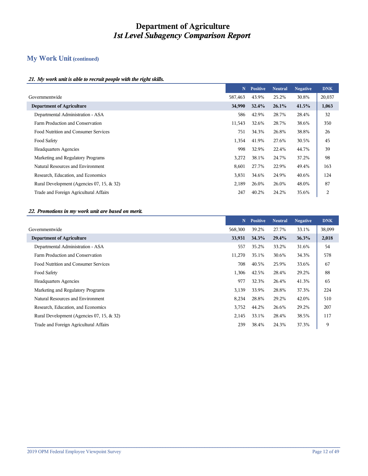## **My Work Unit (continued)**

#### *21. My work unit is able to recruit people with the right skills.*

|                                           | N       | <b>Positive</b> | <b>Neutral</b> | <b>Negative</b> | <b>DNK</b> |
|-------------------------------------------|---------|-----------------|----------------|-----------------|------------|
| Governmentwide                            | 587,463 | 43.9%           | 25.2%          | 30.8%           | 20,037     |
| <b>Department of Agriculture</b>          | 34,990  | 32.4%           | $26.1\%$       | 41.5%           | 1,063      |
| Departmental Administration - ASA         | 586     | 42.9%           | 28.7%          | 28.4%           | 32         |
| Farm Production and Conservation          | 11,543  | 32.6%           | 28.7%          | 38.6%           | 350        |
| Food Nutrition and Consumer Services      | 751     | 34.3%           | 26.8%          | 38.8%           | 26         |
| Food Safety                               | 1,354   | 41.9%           | 27.6%          | 30.5%           | 45         |
| <b>Headquarters Agencies</b>              | 998     | 32.9%           | 22.4%          | 44.7%           | 39         |
| Marketing and Regulatory Programs         | 3,272   | 38.1%           | 24.7%          | 37.2%           | 98         |
| Natural Resources and Environment         | 8,601   | 27.7%           | 22.9%          | 49.4%           | 163        |
| Research, Education, and Economics        | 3,831   | 34.6%           | 24.9%          | 40.6%           | 124        |
| Rural Development (Agencies 07, 15, & 32) | 2,189   | 26.0%           | 26.0%          | 48.0%           | 87         |
| Trade and Foreign Agricultural Affairs    | 247     | 40.2%           | 24.2%          | 35.6%           | 2          |

#### *22. Promotions in my work unit are based on merit.*

|                                           | N       | <b>Positive</b> | <b>Neutral</b> | <b>Negative</b> | <b>DNK</b> |
|-------------------------------------------|---------|-----------------|----------------|-----------------|------------|
| Governmentwide                            | 568,300 | 39.2%           | 27.7%          | 33.1%           | 38,099     |
| <b>Department of Agriculture</b>          | 33,931  | 34.3%           | 29.4%          | 36.3%           | 2,018      |
| Departmental Administration - ASA         | 557     | 35.2%           | 33.2%          | 31.6%           | 54         |
| Farm Production and Conservation          | 11,270  | 35.1%           | 30.6%          | 34.3%           | 578        |
| Food Nutrition and Consumer Services      | 708     | 40.5%           | 25.9%          | 33.6%           | 67         |
| Food Safety                               | 1,306   | 42.5%           | 28.4%          | 29.2%           | 88         |
| <b>Headquarters Agencies</b>              | 977     | 32.3%           | 26.4%          | 41.3%           | 65         |
| Marketing and Regulatory Programs         | 3,139   | 33.9%           | 28.8%          | 37.3%           | 224        |
| Natural Resources and Environment         | 8,234   | 28.8%           | 29.2%          | 42.0%           | 510        |
| Research, Education, and Economics        | 3,752   | 44.2%           | 26.6%          | 29.2%           | 207        |
| Rural Development (Agencies 07, 15, & 32) | 2,145   | 33.1%           | 28.4%          | 38.5%           | 117        |
| Trade and Foreign Agricultural Affairs    | 239     | 38.4%           | 24.3%          | 37.3%           | 9          |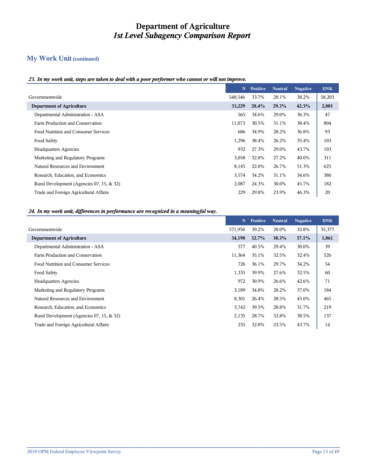# **My Work Unit (continued)**

#### *23. In my work unit, steps are taken to deal with a poor performer who cannot or will not improve.*

|                                           | N       | <b>Positive</b> | <b>Neutral</b> | <b>Negative</b> | <b>DNK</b> |
|-------------------------------------------|---------|-----------------|----------------|-----------------|------------|
| Governmentwide                            | 548,546 | 33.7%           | 28.1%          | 38.2%           | 58,203     |
| <b>Department of Agriculture</b>          | 33,229  | 28.4%           | 29.3%          | 42.3%           | 2,801      |
| Departmental Administration - ASA         | 565     | 34.6%           | 29.0%          | 36.3%           | 47         |
| Farm Production and Conservation          | 11,073  | 30.5%           | 31.1%          | 38.4%           | 804        |
| Food Nutrition and Consumer Services      | 686     | 34.9%           | 28.2%          | 36.8%           | 93         |
| Food Safety                               | 1,296   | 38.4%           | 26.2%          | 35.4%           | 103        |
| <b>Headquarters Agencies</b>              | 932     | 27.3%           | 29.0%          | 43.7%           | 103        |
| Marketing and Regulatory Programs         | 3,058   | 32.8%           | 27.2%          | 40.0%           | 311        |
| Natural Resources and Environment         | 8,145   | 22.0%           | 26.7%          | 51.3%           | 625        |
| Research, Education, and Economics        | 3,574   | 34.2%           | 31.1%          | 34.6%           | 386        |
| Rural Development (Agencies 07, 15, & 32) | 2,087   | 24.3%           | 30.0%          | 45.7%           | 182        |
| Trade and Foreign Agricultural Affairs    | 229     | 29.8%           | 23.9%          | 46.3%           | 20         |

#### *24. In my work unit, differences in performance are recognized in a meaningful way.*

|                                           | N       | <b>Positive</b> | <b>Neutral</b> | <b>Negative</b> | <b>DNK</b> |
|-------------------------------------------|---------|-----------------|----------------|-----------------|------------|
| Governmentwide                            | 571,950 | 39.2%           | 28.0%          | 32.8%           | 35,377     |
| <b>Department of Agriculture</b>          | 34,198  | 32.7%           | 30.3%          | 37.1%           | 1,861      |
| Departmental Administration - ASA         | 577     | 40.5%           | 29.4%          | 30.0%           | 39         |
| Farm Production and Conservation          | 11,364  | 35.1%           | 32.5%          | 32.4%           | 526        |
| Food Nutrition and Consumer Services      | 726     | 36.1%           | 29.7%          | 34.2%           | 54         |
| Food Safety                               | 1,335   | 39.9%           | 27.6%          | 32.5%           | 60         |
| <b>Headquarters Agencies</b>              | 972     | 30.9%           | 26.6%          | 42.6%           | 71         |
| Marketing and Regulatory Programs         | 3,189   | 34.8%           | 28.2%          | 37.0%           | 184        |
| Natural Resources and Environment         | 8,301   | 26.4%           | 28.5%          | 45.0%           | 465        |
| Research, Education, and Economics        | 3,742   | 39.5%           | 28.8%          | 31.7%           | 219        |
| Rural Development (Agencies 07, 15, & 32) | 2,135   | 28.7%           | 32.8%          | 38.5%           | 137        |
| Trade and Foreign Agricultural Affairs    | 235     | 32.8%           | 23.5%          | 43.7%           | 14         |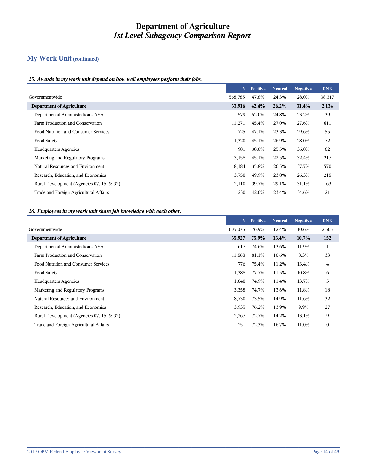## **My Work Unit (continued)**

#### *25. Awards in my work unit depend on how well employees perform their jobs.*

|                                           | N       | <b>Positive</b> | <b>Neutral</b> | <b>Negative</b> | <b>DNK</b> |
|-------------------------------------------|---------|-----------------|----------------|-----------------|------------|
| Governmentwide                            | 568,785 | 47.8%           | 24.3%          | 28.0%           | 38,317     |
| <b>Department of Agriculture</b>          | 33,916  | 42.4%           | 26.2%          | 31.4%           | 2,134      |
| Departmental Administration - ASA         | 579     | 52.0%           | 24.8%          | 23.2%           | 39         |
| Farm Production and Conservation          | 11,271  | 45.4%           | 27.0%          | 27.6%           | 611        |
| Food Nutrition and Consumer Services      | 725     | 47.1%           | 23.3%          | 29.6%           | 55         |
| Food Safety                               | 1,320   | 45.1%           | 26.9%          | 28.0%           | 72         |
| <b>Headquarters Agencies</b>              | 981     | 38.6%           | 25.5%          | 36.0%           | 62         |
| Marketing and Regulatory Programs         | 3,158   | 45.1%           | 22.5%          | 32.4%           | 217        |
| Natural Resources and Environment         | 8,184   | 35.8%           | 26.5%          | 37.7%           | 570        |
| Research, Education, and Economics        | 3,750   | 49.9%           | 23.8%          | 26.3%           | 218        |
| Rural Development (Agencies 07, 15, & 32) | 2,110   | 39.7%           | 29.1%          | 31.1%           | 163        |
| Trade and Foreign Agricultural Affairs    | 230     | 42.0%           | 23.4%          | 34.6%           | 21         |

#### *26. Employees in my work unit share job knowledge with each other.*

|                                           | N       | <b>Positive</b> | <b>Neutral</b> | <b>Negative</b> | <b>DNK</b>   |
|-------------------------------------------|---------|-----------------|----------------|-----------------|--------------|
| Governmentwide                            | 605,075 | 76.9%           | 12.4%          | 10.6%           | 2,503        |
| <b>Department of Agriculture</b>          | 35,927  | 75.9%           | 13.4%          | $10.7\%$        | 152          |
| Departmental Administration - ASA         | 617     | 74.6%           | 13.6%          | 11.9%           | -1           |
| Farm Production and Conservation          | 11,868  | 81.1%           | 10.6%          | 8.3%            | 33           |
| Food Nutrition and Consumer Services      | 776     | 75.4%           | 11.2%          | 13.4%           | 4            |
| Food Safety                               | 1,388   | 77.7%           | 11.5%          | 10.8%           | 6            |
| <b>Headquarters Agencies</b>              | 1,040   | 74.9%           | 11.4%          | 13.7%           | 5            |
| Marketing and Regulatory Programs         | 3,358   | 74.7%           | 13.6%          | 11.8%           | 18           |
| Natural Resources and Environment         | 8,730   | 73.5%           | 14.9%          | 11.6%           | 32           |
| Research, Education, and Economics        | 3,935   | 76.2%           | 13.9%          | 9.9%            | 27           |
| Rural Development (Agencies 07, 15, & 32) | 2,267   | 72.7%           | 14.2%          | 13.1%           | 9            |
| Trade and Foreign Agricultural Affairs    | 251     | 72.3%           | 16.7%          | 11.0%           | $\mathbf{0}$ |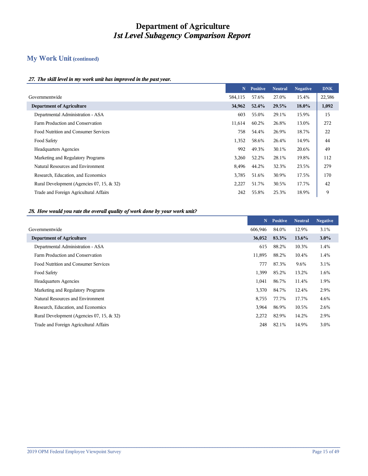## **My Work Unit (continued)**

#### *27. The skill level in my work unit has improved in the past year.*

|                                           | N       | <b>Positive</b> | <b>Neutral</b> | <b>Negative</b> | <b>DNK</b> |
|-------------------------------------------|---------|-----------------|----------------|-----------------|------------|
| Governmentwide                            | 584,115 | 57.6%           | 27.0%          | 15.4%           | 22,586     |
| <b>Department of Agriculture</b>          | 34,962  | 52.4%           | 29.5%          | 18.0%           | 1,092      |
| Departmental Administration - ASA         | 603     | 55.0%           | 29.1%          | 15.9%           | 15         |
| Farm Production and Conservation          | 11,614  | 60.2%           | 26.8%          | 13.0%           | 272        |
| Food Nutrition and Consumer Services      | 758     | 54.4%           | 26.9%          | 18.7%           | 22         |
| Food Safety                               | 1,352   | 58.6%           | 26.4%          | 14.9%           | 44         |
| <b>Headquarters Agencies</b>              | 992     | 49.3%           | 30.1%          | 20.6%           | 49         |
| Marketing and Regulatory Programs         | 3,260   | 52.2%           | 28.1%          | 19.8%           | 112        |
| Natural Resources and Environment         | 8,496   | 44.2%           | 32.3%          | 23.5%           | 279        |
| Research, Education, and Economics        | 3,785   | 51.6%           | 30.9%          | 17.5%           | 170        |
| Rural Development (Agencies 07, 15, & 32) | 2,227   | 51.7%           | 30.5%          | 17.7%           | 42         |
| Trade and Foreign Agricultural Affairs    | 242     | 55.8%           | 25.3%          | 18.9%           | 9          |

#### *28. How would you rate the overall quality of work done by your work unit?*

|                                           | N       | <b>Positive</b> | <b>Neutral</b> | <b>Negative</b> |
|-------------------------------------------|---------|-----------------|----------------|-----------------|
|                                           | 606,946 | 84.0%           | 12.9%          | 3.1%            |
|                                           | 36,052  | 83.3%           | 13.6%          | $3.0\%$         |
| Departmental Administration - ASA         | 615     | 88.2%           | 10.3%          | 1.4%            |
| Farm Production and Conservation          | 11,895  | 88.2%           | 10.4%          | 1.4%            |
| Food Nutrition and Consumer Services      | 777     | 87.3%           | 9.6%           | 3.1%            |
| Food Safety                               | 1,399   | 85.2%           | 13.2%          | 1.6%            |
| <b>Headquarters Agencies</b>              | 1,041   | 86.7%           | 11.4%          | 1.9%            |
| Marketing and Regulatory Programs         | 3,370   | 84.7%           | 12.4%          | 2.9%            |
| Natural Resources and Environment         | 8,755   | 77.7%           | 17.7%          | 4.6%            |
| Research, Education, and Economics        | 3,964   | 86.9%           | 10.5%          | 2.6%            |
| Rural Development (Agencies 07, 15, & 32) | 2,272   | 82.9%           | 14.2%          | 2.9%            |
| Trade and Foreign Agricultural Affairs    | 248     | 82.1%           | 14.9%          | 3.0%            |
|                                           |         |                 |                |                 |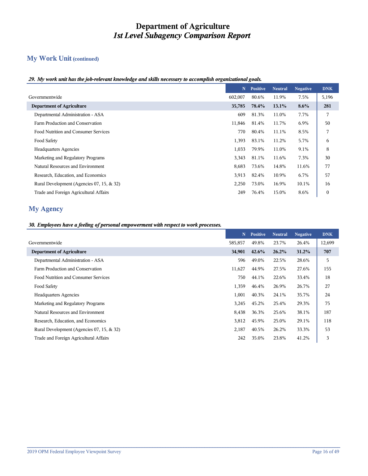# **My Work Unit (continued)**

#### *29. My work unit has the job-relevant knowledge and skills necessary to accomplish organizational goals.*

|                                           | N       | <b>Positive</b> | <b>Neutral</b> | <b>Negative</b> | <b>DNK</b>       |
|-------------------------------------------|---------|-----------------|----------------|-----------------|------------------|
| Governmentwide                            | 602,007 | 80.6%           | 11.9%          | 7.5%            | 5,196            |
| <b>Department of Agriculture</b>          | 35,785  | 78.4%           | 13.1%          | $8.6\%$         | 281              |
| Departmental Administration - ASA         | 609     | 81.3%           | 11.0%          | 7.7%            | 7                |
| Farm Production and Conservation          | 11,846  | 81.4%           | 11.7%          | 6.9%            | 50               |
| Food Nutrition and Consumer Services      | 770     | 80.4%           | 11.1%          | 8.5%            | 7                |
| Food Safety                               | 1,393   | 83.1%           | 11.2%          | 5.7%            | 6                |
| <b>Headquarters Agencies</b>              | 1,033   | 79.9%           | 11.0%          | 9.1%            | 8                |
| Marketing and Regulatory Programs         | 3,343   | 81.1%           | 11.6%          | 7.3%            | 30               |
| Natural Resources and Environment         | 8,683   | 73.6%           | 14.8%          | 11.6%           | 77               |
| Research, Education, and Economics        | 3,913   | 82.4%           | 10.9%          | 6.7%            | 57               |
| Rural Development (Agencies 07, 15, & 32) | 2,250   | 73.0%           | 16.9%          | 10.1%           | 16               |
| Trade and Foreign Agricultural Affairs    | 249     | 76.4%           | 15.0%          | 8.6%            | $\boldsymbol{0}$ |

## **My Agency**

#### *30. Employees have a feeling of personal empowerment with respect to work processes.*

|                                           | N       | <b>Positive</b> | <b>Neutral</b> | <b>Negative</b> | <b>DNK</b> |
|-------------------------------------------|---------|-----------------|----------------|-----------------|------------|
| Governmentwide                            | 585,857 | 49.8%           | 23.7%          | 26.4%           | 12,699     |
| <b>Department of Agriculture</b>          | 34,901  | 42.6%           | 26.2%          | 31.2%           | 707        |
| Departmental Administration - ASA         | 596     | 49.0%           | 22.5%          | 28.6%           | 5          |
| Farm Production and Conservation          | 11,627  | 44.9%           | 27.5%          | 27.6%           | 155        |
| Food Nutrition and Consumer Services      | 750     | 44.1%           | 22.6%          | 33.4%           | 18         |
| Food Safety                               | 1,359   | 46.4%           | 26.9%          | 26.7%           | 27         |
| <b>Headquarters Agencies</b>              | 1,001   | 40.3%           | 24.1%          | 35.7%           | 24         |
| Marketing and Regulatory Programs         | 3,245   | 45.2%           | 25.4%          | 29.3%           | 75         |
| Natural Resources and Environment         | 8,438   | 36.3%           | 25.6%          | 38.1%           | 187        |
| Research, Education, and Economics        | 3,812   | 45.9%           | 25.0%          | 29.1%           | 118        |
| Rural Development (Agencies 07, 15, & 32) | 2,187   | 40.5%           | 26.2%          | 33.3%           | 53         |
| Trade and Foreign Agricultural Affairs    | 242     | 35.0%           | 23.8%          | 41.2%           | 3          |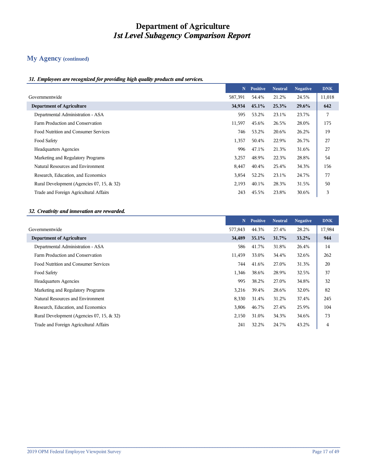## **My Agency (continued)**

#### *31. Employees are recognized for providing high quality products and services.*

|                                           | N       | <b>Positive</b> | <b>Neutral</b> | <b>Negative</b> | <b>DNK</b> |
|-------------------------------------------|---------|-----------------|----------------|-----------------|------------|
| Governmentwide                            | 587,391 | 54.4%           | 21.2%          | 24.5%           | 11,018     |
| <b>Department of Agriculture</b>          | 34,934  | $45.1\%$        | 25.3%          | 29.6%           | 642        |
| Departmental Administration - ASA         | 595     | 53.2%           | 23.1%          | 23.7%           | 7          |
| Farm Production and Conservation          | 11,597  | 45.6%           | 26.5%          | 28.0%           | 175        |
| Food Nutrition and Consumer Services      | 746     | 53.2%           | 20.6%          | 26.2%           | 19         |
| Food Safety                               | 1,357   | 50.4%           | 22.9%          | 26.7%           | 27         |
| <b>Headquarters Agencies</b>              | 996     | 47.1%           | 21.3%          | 31.6%           | 27         |
| Marketing and Regulatory Programs         | 3,257   | 48.9%           | 22.3%          | 28.8%           | 54         |
| Natural Resources and Environment         | 8,447   | 40.4%           | 25.4%          | 34.3%           | 156        |
| Research, Education, and Economics        | 3,854   | 52.2%           | 23.1%          | 24.7%           | 77         |
| Rural Development (Agencies 07, 15, & 32) | 2,193   | 40.1%           | 28.3%          | 31.5%           | 50         |
| Trade and Foreign Agricultural Affairs    | 243     | 45.5%           | 23.8%          | 30.6%           | 3          |

#### *32. Creativity and innovation are rewarded.*

|                                           | N       | <b>Positive</b> | <b>Neutral</b> | <b>Negative</b> | <b>DNK</b> |
|-------------------------------------------|---------|-----------------|----------------|-----------------|------------|
| Governmentwide                            | 577,843 | 44.3%           | 27.4%          | 28.2%           | 17,984     |
| <b>Department of Agriculture</b>          | 34,489  | 35.1%           | 31.7%          | 33.2%           | 944        |
| Departmental Administration - ASA         | 586     | 41.7%           | 31.8%          | 26.4%           | 14         |
| Farm Production and Conservation          | 11,459  | 33.0%           | 34.4%          | 32.6%           | 262        |
| Food Nutrition and Consumer Services      | 744     | 41.6%           | 27.0%          | 31.3%           | 20         |
| Food Safety                               | 1,346   | 38.6%           | 28.9%          | 32.5%           | 37         |
| <b>Headquarters Agencies</b>              | 995     | 38.2%           | 27.0%          | 34.8%           | 32         |
| Marketing and Regulatory Programs         | 3,216   | 39.4%           | 28.6%          | 32.0%           | 82         |
| Natural Resources and Environment         | 8,330   | 31.4%           | 31.2%          | 37.4%           | 245        |
| Research, Education, and Economics        | 3,806   | 46.7%           | 27.4%          | 25.9%           | 104        |
| Rural Development (Agencies 07, 15, & 32) | 2,150   | 31.0%           | 34.3%          | 34.6%           | 73         |
| Trade and Foreign Agricultural Affairs    | 241     | 32.2%           | 24.7%          | 43.2%           | 4          |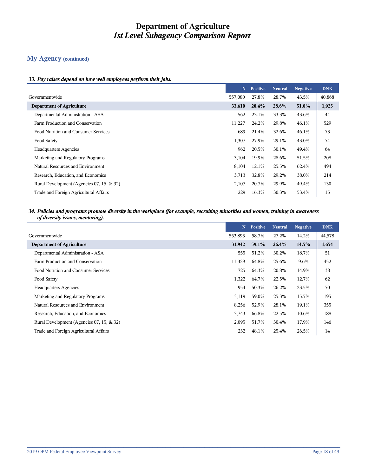## **My Agency (continued)**

#### *33. Pay raises depend on how well employees perform their jobs.*

|                                           | N       | <b>Positive</b> | <b>Neutral</b> | <b>Negative</b> | <b>DNK</b> |
|-------------------------------------------|---------|-----------------|----------------|-----------------|------------|
| Governmentwide                            | 557,080 | 27.8%           | 28.7%          | 43.5%           | 40,868     |
| <b>Department of Agriculture</b>          | 33,610  | $20.4\%$        | 28.6%          | 51.0%           | 1,925      |
| Departmental Administration - ASA         | 562     | 23.1%           | 33.3%          | 43.6%           | 44         |
| Farm Production and Conservation          | 11,227  | 24.2%           | 29.8%          | 46.1%           | 529        |
| Food Nutrition and Consumer Services      | 689     | 21.4%           | 32.6%          | 46.1%           | 73         |
| Food Safety                               | 1,307   | 27.9%           | 29.1%          | 43.0%           | 74         |
| <b>Headquarters Agencies</b>              | 962     | 20.5%           | 30.1%          | 49.4%           | 64         |
| Marketing and Regulatory Programs         | 3,104   | 19.9%           | 28.6%          | 51.5%           | 208        |
| Natural Resources and Environment         | 8,104   | 12.1%           | 25.5%          | 62.4%           | 494        |
| Research, Education, and Economics        | 3,713   | 32.8%           | 29.2%          | 38.0%           | 214        |
| Rural Development (Agencies 07, 15, & 32) | 2,107   | 20.7%           | 29.9%          | 49.4%           | 130        |
| Trade and Foreign Agricultural Affairs    | 229     | 16.3%           | 30.3%          | 53.4%           | 15         |

#### *34. Policies and programs promote diversity in the workplace (for example, recruiting minorities and women, training in awareness of diversity issues, mentoring).*

|                                           | N       | <b>Positive</b> | <b>Neutral</b> | <b>Negative</b> | <b>DNK</b> |
|-------------------------------------------|---------|-----------------|----------------|-----------------|------------|
| Governmentwide                            | 553,893 | 58.7%           | 27.2%          | 14.2%           | 44,578     |
| <b>Department of Agriculture</b>          | 33,942  | 59.1%           | 26.4%          | 14.5%           | 1,654      |
| Departmental Administration - ASA         | 555     | 51.2%           | 30.2%          | 18.7%           | 51         |
| Farm Production and Conservation          | 11,329  | 64.8%           | 25.6%          | 9.6%            | 452        |
| Food Nutrition and Consumer Services      | 725     | 64.3%           | 20.8%          | 14.9%           | 38         |
| Food Safety                               | 1,322   | 64.7%           | 22.5%          | 12.7%           | 62         |
| <b>Headquarters Agencies</b>              | 954     | 50.3%           | 26.2%          | 23.5%           | 70         |
| Marketing and Regulatory Programs         | 3,119   | 59.0%           | 25.3%          | 15.7%           | 195        |
| Natural Resources and Environment         | 8,256   | 52.9%           | 28.1%          | 19.1%           | 355        |
| Research, Education, and Economics        | 3,743   | 66.8%           | 22.5%          | 10.6%           | 188        |
| Rural Development (Agencies 07, 15, & 32) | 2,095   | 51.7%           | 30.4%          | 17.9%           | 146        |
| Trade and Foreign Agricultural Affairs    | 232     | 48.1%           | 25.4%          | 26.5%           | 14         |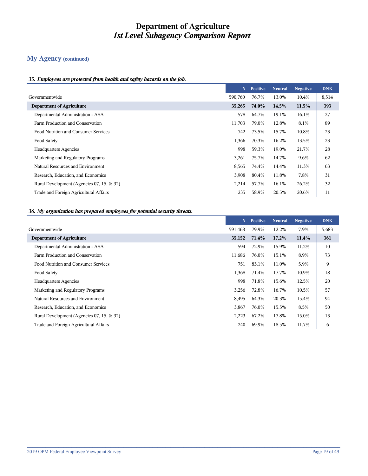## **My Agency (continued)**

#### *35. Employees are protected from health and safety hazards on the job.*

|                                           | N       | <b>Positive</b> | <b>Neutral</b> | <b>Negative</b> | <b>DNK</b> |
|-------------------------------------------|---------|-----------------|----------------|-----------------|------------|
| Governmentwide                            | 590,760 | 76.7%           | 13.0%          | 10.4%           | 8,514      |
| <b>Department of Agriculture</b>          | 35,265  | 74.0%           | 14.5%          | 11.5%           | 393        |
| Departmental Administration - ASA         | 578     | 64.7%           | 19.1%          | 16.1%           | 27         |
| Farm Production and Conservation          | 11,703  | 79.0%           | 12.8%          | 8.1%            | 89         |
| Food Nutrition and Consumer Services      | 742     | 73.5%           | 15.7%          | 10.8%           | 23         |
| Food Safety                               | 1,366   | 70.3%           | 16.2%          | 13.5%           | 23         |
| <b>Headquarters Agencies</b>              | 998     | 59.3%           | 19.0%          | 21.7%           | 28         |
| Marketing and Regulatory Programs         | 3,261   | 75.7%           | 14.7%          | 9.6%            | 62         |
| Natural Resources and Environment         | 8,565   | 74.4%           | 14.4%          | 11.3%           | 63         |
| Research, Education, and Economics        | 3,908   | 80.4%           | 11.8%          | 7.8%            | 31         |
| Rural Development (Agencies 07, 15, & 32) | 2,214   | 57.7%           | 16.1%          | 26.2%           | 32         |
| Trade and Foreign Agricultural Affairs    | 235     | 58.9%           | 20.5%          | 20.6%           | 11         |

#### *36. My organization has prepared employees for potential security threats.*

|                                           | N       | <b>Positive</b> | <b>Neutral</b> | <b>Negative</b> | <b>DNK</b> |
|-------------------------------------------|---------|-----------------|----------------|-----------------|------------|
| Governmentwide                            | 591,468 | 79.9%           | 12.2%          | 7.9%            | 5,683      |
| <b>Department of Agriculture</b>          | 35,152  | 71.4%           | 17.2%          | 11.4%           | 361        |
| Departmental Administration - ASA         | 594     | 72.9%           | 15.9%          | 11.2%           | 10         |
| Farm Production and Conservation          | 11,686  | 76.0%           | 15.1%          | 8.9%            | 73         |
| Food Nutrition and Consumer Services      | 751     | 83.1%           | 11.0%          | 5.9%            | 9          |
| Food Safety                               | 1,368   | 71.4%           | 17.7%          | 10.9%           | 18         |
| <b>Headquarters Agencies</b>              | 998     | 71.8%           | 15.6%          | 12.5%           | 20         |
| Marketing and Regulatory Programs         | 3,256   | 72.8%           | 16.7%          | 10.5%           | 57         |
| Natural Resources and Environment         | 8,495   | 64.3%           | 20.3%          | 15.4%           | 94         |
| Research, Education, and Economics        | 3,867   | 76.0%           | 15.5%          | 8.5%            | 50         |
| Rural Development (Agencies 07, 15, & 32) | 2,223   | 67.2%           | 17.8%          | 15.0%           | 13         |
| Trade and Foreign Agricultural Affairs    | 240     | 69.9%           | 18.5%          | 11.7%           | 6          |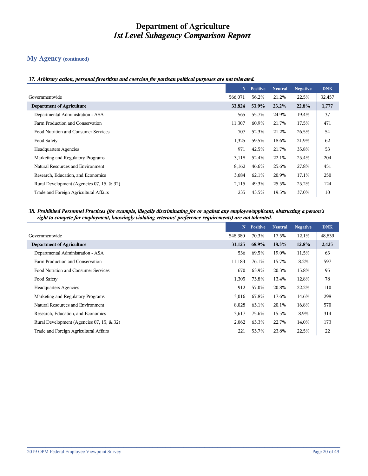## **My Agency (continued)**

#### *37. Arbitrary action, personal favoritism and coercion for partisan political purposes are not tolerated.*

|                                           | N       | <b>Positive</b> | <b>Neutral</b> | <b>Negative</b> | <b>DNK</b> |
|-------------------------------------------|---------|-----------------|----------------|-----------------|------------|
| Governmentwide                            | 566,071 | 56.2%           | 21.2%          | 22.5%           | 32,457     |
| <b>Department of Agriculture</b>          | 33,824  | 53.9%           | 23.2%          | 22.8%           | 1,777      |
| Departmental Administration - ASA         | 565     | 55.7%           | 24.9%          | 19.4%           | 37         |
| Farm Production and Conservation          | 11,307  | 60.9%           | 21.7%          | 17.5%           | 471        |
| Food Nutrition and Consumer Services      | 707     | 52.3%           | 21.2%          | 26.5%           | 54         |
| Food Safety                               | 1,325   | 59.5%           | 18.6%          | 21.9%           | 62         |
| <b>Headquarters Agencies</b>              | 971     | 42.5%           | 21.7%          | 35.8%           | 53         |
| Marketing and Regulatory Programs         | 3,118   | 52.4%           | 22.1%          | 25.4%           | 204        |
| Natural Resources and Environment         | 8,162   | 46.6%           | 25.6%          | 27.8%           | 451        |
| Research, Education, and Economics        | 3,684   | 62.1%           | 20.9%          | 17.1%           | 250        |
| Rural Development (Agencies 07, 15, & 32) | 2,115   | 49.3%           | 25.5%          | 25.2%           | 124        |
| Trade and Foreign Agricultural Affairs    | 235     | 43.5%           | 19.5%          | 37.0%           | 10         |

#### *38. Prohibited Personnel Practices (for example, illegally discriminating for or against any employee/applicant, obstructing a person's right to compete for employment, knowingly violating veterans' preference requirements) are not tolerated.*

|                                           | N       | <b>Positive</b> | <b>Neutral</b> | <b>Negative</b> | <b>DNK</b> |
|-------------------------------------------|---------|-----------------|----------------|-----------------|------------|
| Governmentwide                            | 548,380 | 70.3%           | 17.5%          | 12.1%           | 48,839     |
| <b>Department of Agriculture</b>          | 33,125  | 68.9%           | $18.3\%$       | 12.8%           | 2,425      |
| Departmental Administration - ASA         | 536     | 69.5%           | 19.0%          | 11.5%           | 63         |
| Farm Production and Conservation          | 11,183  | 76.1%           | 15.7%          | 8.2%            | 597        |
| Food Nutrition and Consumer Services      | 670     | 63.9%           | 20.3%          | 15.8%           | 95         |
| Food Safety                               | 1,305   | 73.8%           | 13.4%          | 12.8%           | 78         |
| <b>Headquarters Agencies</b>              | 912     | 57.0%           | 20.8%          | 22.2%           | 110        |
| Marketing and Regulatory Programs         | 3,016   | 67.8%           | 17.6%          | 14.6%           | 298        |
| Natural Resources and Environment         | 8,028   | 63.1%           | 20.1%          | 16.8%           | 570        |
| Research, Education, and Economics        | 3,617   | 75.6%           | 15.5%          | 8.9%            | 314        |
| Rural Development (Agencies 07, 15, & 32) | 2,062   | 63.3%           | 22.7%          | 14.0%           | 173        |
| Trade and Foreign Agricultural Affairs    | 221     | 53.7%           | 23.8%          | 22.5%           | 22         |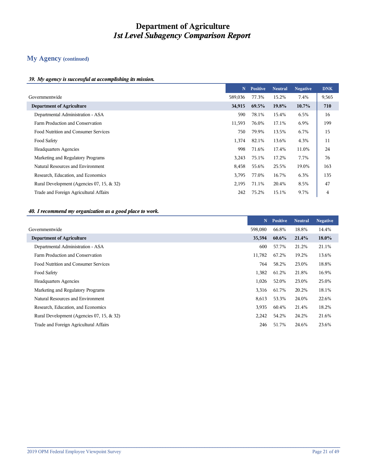## **My Agency (continued)**

#### *39. My agency is successful at accomplishing its mission.*

|                                           | N       | <b>Positive</b> | <b>Neutral</b> | <b>Negative</b> | <b>DNK</b> |
|-------------------------------------------|---------|-----------------|----------------|-----------------|------------|
| Governmentwide                            | 589,036 | 77.3%           | 15.2%          | 7.4%            | 9,565      |
| <b>Department of Agriculture</b>          | 34,915  | 69.5%           | 19.8%          | $10.7\%$        | 710        |
| Departmental Administration - ASA         | 590     | 78.1%           | 15.4%          | 6.5%            | 16         |
| Farm Production and Conservation          | 11,593  | 76.0%           | 17.1%          | 6.9%            | 199        |
| Food Nutrition and Consumer Services      | 750     | 79.9%           | 13.5%          | 6.7%            | 15         |
| Food Safety                               | 1,374   | 82.1%           | 13.6%          | 4.3%            | 11         |
| <b>Headquarters Agencies</b>              | 998     | 71.6%           | 17.4%          | 11.0%           | 24         |
| Marketing and Regulatory Programs         | 3,243   | 75.1%           | 17.2%          | 7.7%            | 76         |
| Natural Resources and Environment         | 8,458   | 55.6%           | 25.5%          | 19.0%           | 163        |
| Research, Education, and Economics        | 3,795   | 77.0%           | 16.7%          | 6.3%            | 135        |
| Rural Development (Agencies 07, 15, & 32) | 2,195   | 71.1%           | 20.4%          | 8.5%            | 47         |
| Trade and Foreign Agricultural Affairs    | 242     | 75.2%           | 15.1%          | 9.7%            | 4          |

#### *40. I recommend my organization as a good place to work.*

|                                           | N       | <b>Positive</b> | <b>Neutral</b> | <b>Negative</b> |
|-------------------------------------------|---------|-----------------|----------------|-----------------|
|                                           | 598,080 | 66.8%           | 18.8%          | 14.4%           |
| <b>Department of Agriculture</b>          | 35,594  | 60.6%           | 21.4%          | $18.0\%$        |
| Departmental Administration - ASA         | 600     | 57.7%           | 21.2%          | 21.1%           |
| Farm Production and Conservation          | 11,782  | 67.2%           | 19.2%          | 13.6%           |
| Food Nutrition and Consumer Services      | 764     | 58.2%           | 23.0%          | 18.8%           |
| Food Safety                               | 1,382   | 61.2%           | 21.8%          | 16.9%           |
| <b>Headquarters Agencies</b>              | 1,026   | 52.0%           | 23.0%          | 25.0%           |
| Marketing and Regulatory Programs         | 3,316   | 61.7%           | 20.2%          | 18.1%           |
| Natural Resources and Environment         | 8,613   | 53.3%           | 24.0%          | 22.6%           |
| Research, Education, and Economics        | 3,935   | 60.4%           | 21.4%          | 18.2%           |
| Rural Development (Agencies 07, 15, & 32) | 2,242   | 54.2%           | 24.2%          | 21.6%           |
| Trade and Foreign Agricultural Affairs    | 246     | 51.7%           | 24.6%          | 23.6%           |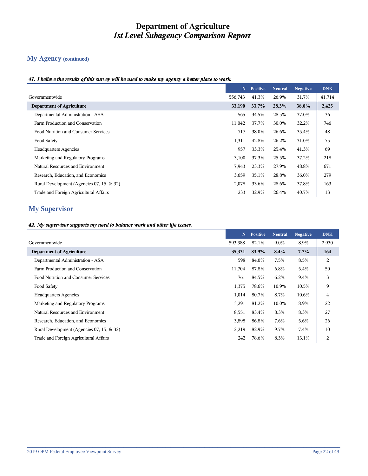## **My Agency (continued)**

#### *41. I believe the results of this survey will be used to make my agency a better place to work.*

|                                           | $\mathbf N$ | <b>Positive</b> | <b>Neutral</b> | <b>Negative</b> | <b>DNK</b> |
|-------------------------------------------|-------------|-----------------|----------------|-----------------|------------|
| Governmentwide                            | 556,743     | 41.3%           | 26.9%          | 31.7%           | 41,714     |
| <b>Department of Agriculture</b>          | 33,190      | 33.7%           | 28.3%          | 38.0%           | 2,425      |
| Departmental Administration - ASA         | 565         | 34.5%           | 28.5%          | 37.0%           | 36         |
| Farm Production and Conservation          | 11,042      | 37.7%           | 30.0%          | 32.2%           | 746        |
| Food Nutrition and Consumer Services      | 717         | 38.0%           | 26.6%          | 35.4%           | 48         |
| Food Safety                               | 1,311       | 42.8%           | 26.2%          | 31.0%           | 75         |
| <b>Headquarters Agencies</b>              | 957         | 33.3%           | 25.4%          | 41.3%           | 69         |
| Marketing and Regulatory Programs         | 3,100       | 37.3%           | 25.5%          | 37.2%           | 218        |
| Natural Resources and Environment         | 7,943       | 23.3%           | 27.9%          | 48.8%           | 671        |
| Research, Education, and Economics        | 3,659       | 35.1%           | 28.8%          | 36.0%           | 279        |
| Rural Development (Agencies 07, 15, & 32) | 2,078       | 33.6%           | 28.6%          | 37.8%           | 163        |
| Trade and Foreign Agricultural Affairs    | 233         | 32.9%           | 26.4%          | 40.7%           | 13         |

## **My Supervisor**

#### *42. My supervisor supports my need to balance work and other life issues.*

|                                           | N       | <b>Positive</b> | <b>Neutral</b> | <b>Negative</b> | <b>DNK</b> |
|-------------------------------------------|---------|-----------------|----------------|-----------------|------------|
| Governmentwide                            | 593,388 | 82.1%           | 9.0%           | 8.9%            | 2,930      |
| <b>Department of Agriculture</b>          | 35,331  | 83.9%           | 8.4%           | $7.7\%$         | 164        |
| Departmental Administration - ASA         | 598     | 84.0%           | 7.5%           | 8.5%            | 2          |
| Farm Production and Conservation          | 11,704  | 87.8%           | 6.8%           | 5.4%            | 50         |
| Food Nutrition and Consumer Services      | 761     | 84.5%           | 6.2%           | 9.4%            | 3          |
| Food Safety                               | 1,375   | 78.6%           | 10.9%          | 10.5%           | 9          |
| <b>Headquarters Agencies</b>              | 1,014   | 80.7%           | 8.7%           | 10.6%           | 4          |
| Marketing and Regulatory Programs         | 3,291   | 81.2%           | 10.0%          | 8.9%            | 22         |
| Natural Resources and Environment         | 8,551   | 83.4%           | 8.3%           | 8.3%            | 27         |
| Research, Education, and Economics        | 3,898   | 86.8%           | 7.6%           | 5.6%            | 26         |
| Rural Development (Agencies 07, 15, & 32) | 2,219   | 82.9%           | 9.7%           | 7.4%            | 10         |
| Trade and Foreign Agricultural Affairs    | 242     | 78.6%           | 8.3%           | 13.1%           | 2          |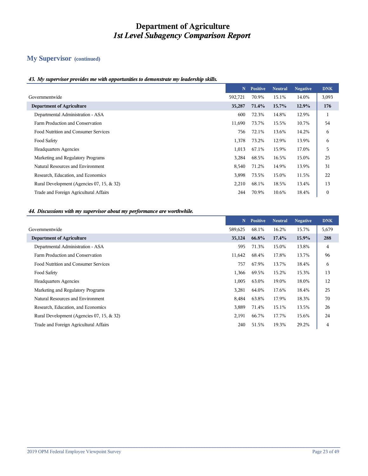## **My Supervisor (continued)**

#### *43. My supervisor provides me with opportunities to demonstrate my leadership skills.*

|                                           | N.      | <b>Positive</b> | <b>Neutral</b> | <b>Negative</b> | <b>DNK</b>   |
|-------------------------------------------|---------|-----------------|----------------|-----------------|--------------|
| Governmentwide                            | 592,721 | 70.9%           | 15.1%          | 14.0%           | 3,093        |
| <b>Department of Agriculture</b>          | 35,287  | 71.4%           | 15.7%          | 12.9%           | 176          |
| Departmental Administration - ASA         | 600     | 72.3%           | 14.8%          | 12.9%           |              |
| Farm Production and Conservation          | 11,690  | 73.7%           | 15.5%          | 10.7%           | 54           |
| Food Nutrition and Consumer Services      | 756     | 72.1%           | 13.6%          | 14.2%           | 6            |
| Food Safety                               | 1,378   | 73.2%           | 12.9%          | 13.9%           | 6            |
| <b>Headquarters Agencies</b>              | 1,013   | 67.1%           | 15.9%          | 17.0%           | 5            |
| Marketing and Regulatory Programs         | 3,284   | 68.5%           | 16.5%          | 15.0%           | 25           |
| Natural Resources and Environment         | 8,540   | 71.2%           | 14.9%          | 13.9%           | 31           |
| Research, Education, and Economics        | 3,898   | 73.5%           | 15.0%          | 11.5%           | 22           |
| Rural Development (Agencies 07, 15, & 32) | 2,210   | 68.1%           | 18.5%          | 13.4%           | 13           |
| Trade and Foreign Agricultural Affairs    | 244     | 70.9%           | 10.6%          | 18.4%           | $\mathbf{0}$ |

#### *44. Discussions with my supervisor about my performance are worthwhile.*

|                                           | N       | <b>Positive</b> | <b>Neutral</b> | <b>Negative</b> | <b>DNK</b> |
|-------------------------------------------|---------|-----------------|----------------|-----------------|------------|
| Governmentwide                            | 589,625 | 68.1%           | 16.2%          | 15.7%           | 5,679      |
| <b>Department of Agriculture</b>          | 35,124  | 66.8%           | 17.4%          | 15.9%           | 288        |
| Departmental Administration - ASA         | 595     | 71.3%           | 15.0%          | 13.8%           | 4          |
| Farm Production and Conservation          | 11,642  | 68.4%           | 17.8%          | 13.7%           | 96         |
| Food Nutrition and Consumer Services      | 757     | 67.9%           | 13.7%          | 18.4%           | 6          |
| Food Safety                               | 1,366   | 69.5%           | 15.2%          | 15.3%           | 13         |
| <b>Headquarters Agencies</b>              | 1,005   | 63.0%           | 19.0%          | 18.0%           | 12         |
| Marketing and Regulatory Programs         | 3,281   | 64.0%           | 17.6%          | 18.4%           | 25         |
| Natural Resources and Environment         | 8,484   | 63.8%           | 17.9%          | 18.3%           | 70         |
| Research, Education, and Economics        | 3,889   | 71.4%           | 15.1%          | 13.5%           | 26         |
| Rural Development (Agencies 07, 15, & 32) | 2,191   | 66.7%           | 17.7%          | 15.6%           | 24         |
| Trade and Foreign Agricultural Affairs    | 240     | 51.5%           | 19.3%          | 29.2%           | 4          |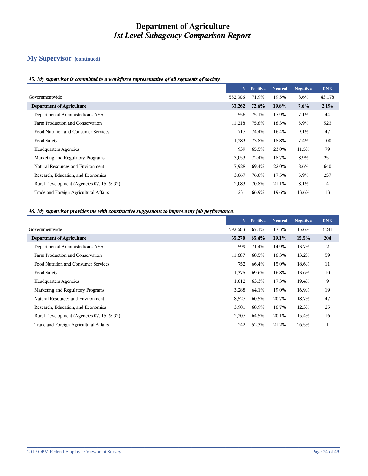## **My Supervisor (continued)**

#### *45. My supervisor is committed to a workforce representative of all segments of society.*

|                                           | N       | <b>Positive</b> | <b>Neutral</b> | <b>Negative</b> | <b>DNK</b> |
|-------------------------------------------|---------|-----------------|----------------|-----------------|------------|
| Governmentwide                            | 552,306 | 71.9%           | 19.5%          | 8.6%            | 43,178     |
| <b>Department of Agriculture</b>          | 33,262  | 72.6%           | 19.8%          | 7.6%            | 2,194      |
| Departmental Administration - ASA         | 556     | 75.1%           | 17.9%          | 7.1%            | 44         |
| Farm Production and Conservation          | 11,218  | 75.8%           | 18.3%          | 5.9%            | 523        |
| Food Nutrition and Consumer Services      | 717     | 74.4%           | 16.4%          | 9.1%            | 47         |
| Food Safety                               | 1,283   | 73.8%           | 18.8%          | 7.4%            | 100        |
| <b>Headquarters Agencies</b>              | 939     | 65.5%           | 23.0%          | 11.5%           | 79         |
| Marketing and Regulatory Programs         | 3,053   | 72.4%           | 18.7%          | 8.9%            | 251        |
| Natural Resources and Environment         | 7,928   | 69.4%           | 22.0%          | 8.6%            | 640        |
| Research, Education, and Economics        | 3,667   | 76.6%           | 17.5%          | 5.9%            | 257        |
| Rural Development (Agencies 07, 15, & 32) | 2,083   | 70.8%           | 21.1%          | 8.1%            | 141        |
| Trade and Foreign Agricultural Affairs    | 231     | 66.9%           | 19.6%          | 13.6%           | 13         |

#### *46. My supervisor provides me with constructive suggestions to improve my job performance.*

|                                           | N       | <b>Positive</b> | <b>Neutral</b> | <b>Negative</b> | <b>DNK</b> |
|-------------------------------------------|---------|-----------------|----------------|-----------------|------------|
| Governmentwide                            | 592,663 | 67.1%           | 17.3%          | 15.6%           | 3,241      |
| <b>Department of Agriculture</b>          | 35,270  | 65.4%           | 19.1%          | 15.5%           | 204        |
| Departmental Administration - ASA         | 599     | 71.4%           | 14.9%          | 13.7%           | 2          |
| Farm Production and Conservation          | 11,687  | 68.5%           | 18.3%          | 13.2%           | 59         |
| Food Nutrition and Consumer Services      | 752     | 66.4%           | 15.0%          | 18.6%           | 11         |
| Food Safety                               | 1,375   | 69.6%           | 16.8%          | 13.6%           | 10         |
| <b>Headquarters Agencies</b>              | 1,012   | 63.3%           | 17.3%          | 19.4%           | 9          |
| Marketing and Regulatory Programs         | 3,288   | 64.1%           | 19.0%          | 16.9%           | 19         |
| Natural Resources and Environment         | 8,527   | 60.5%           | 20.7%          | 18.7%           | 47         |
| Research, Education, and Economics        | 3,901   | 68.9%           | 18.7%          | 12.3%           | 25         |
| Rural Development (Agencies 07, 15, & 32) | 2,207   | 64.5%           | 20.1%          | 15.4%           | 16         |
| Trade and Foreign Agricultural Affairs    | 242     | 52.3%           | 21.2%          | 26.5%           |            |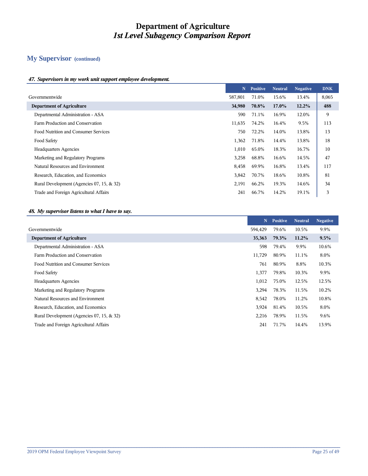## **My Supervisor (continued)**

#### *47. Supervisors in my work unit support employee development.*

|                                           | N       | <b>Positive</b> | <b>Neutral</b> | <b>Negative</b> | <b>DNK</b> |
|-------------------------------------------|---------|-----------------|----------------|-----------------|------------|
| Governmentwide                            | 587,801 | 71.0%           | 15.6%          | 13.4%           | 8,065      |
| <b>Department of Agriculture</b>          | 34,980  | 70.8%           | $17.0\%$       | 12.2%           | 488        |
| Departmental Administration - ASA         | 590     | 71.1%           | 16.9%          | 12.0%           | 9          |
| Farm Production and Conservation          | 11,635  | 74.2%           | 16.4%          | 9.5%            | 113        |
| Food Nutrition and Consumer Services      | 750     | 72.2%           | 14.0%          | 13.8%           | 13         |
| Food Safety                               | 1,362   | 71.8%           | 14.4%          | 13.8%           | 18         |
| <b>Headquarters Agencies</b>              | 1,010   | 65.0%           | 18.3%          | 16.7%           | 10         |
| Marketing and Regulatory Programs         | 3,258   | 68.8%           | 16.6%          | 14.5%           | 47         |
| Natural Resources and Environment         | 8,458   | 69.9%           | 16.8%          | 13.4%           | 117        |
| Research, Education, and Economics        | 3,842   | 70.7%           | 18.6%          | 10.8%           | 81         |
| Rural Development (Agencies 07, 15, & 32) | 2,191   | 66.2%           | 19.3%          | 14.6%           | 34         |
| Trade and Foreign Agricultural Affairs    | 241     | 66.7%           | 14.2%          | 19.1%           | 3          |

#### *48. My supervisor listens to what I have to say.*

|                                           | N       | <b>Positive</b> | <b>Neutral</b> | <b>Negative</b> |
|-------------------------------------------|---------|-----------------|----------------|-----------------|
|                                           | 594.429 | 79.6%           | 10.5%          | 9.9%            |
|                                           | 35,363  | 79.3%           | $11.2\%$       | $9.5\%$         |
|                                           | 598     | 79.4%           | 9.9%           | 10.6%           |
|                                           | 11,729  | 80.9%           | 11.1%          | 8.0%            |
| Food Nutrition and Consumer Services      | 761     | 80.9%           | 8.8%           | 10.3%           |
|                                           | 1,377   | 79.8%           | 10.3%          | 9.9%            |
|                                           | 1,012   | 75.0%           | 12.5%          | 12.5%           |
| Marketing and Regulatory Programs         | 3,294   | 78.3%           | 11.5%          | 10.2%           |
| Natural Resources and Environment         | 8,542   | 78.0%           | 11.2%          | 10.8%           |
| Research, Education, and Economics        | 3,924   | 81.4%           | 10.5%          | 8.0%            |
| Rural Development (Agencies 07, 15, & 32) | 2,216   | 78.9%           | 11.5%          | 9.6%            |
| Trade and Foreign Agricultural Affairs    | 241     | 71.7%           | 14.4%          | 13.9%           |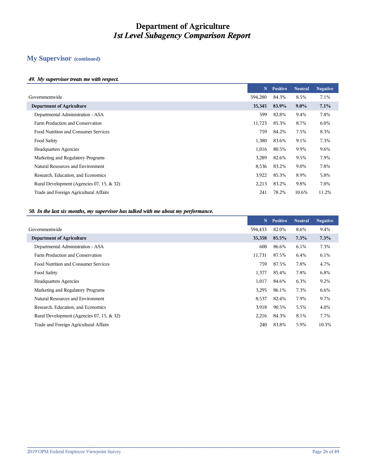## **My Supervisor (continued)**

#### *49. My supervisor treats me with respect.*

|                                           | N       | <b>Positive</b> | <b>Neutral</b> | <b>Negative</b> |
|-------------------------------------------|---------|-----------------|----------------|-----------------|
| Governmentwide                            | 594,280 | 84.3%           | 8.5%           | 7.1%            |
| <b>Department of Agriculture</b>          | 35,345  | 83.9%           | $9.0\%$        | 7.1%            |
| Departmental Administration - ASA         | 599     | 82.8%           | 9.4%           | 7.8%            |
| Farm Production and Conservation          | 11,723  | 85.3%           | 8.7%           | 6.0%            |
| Food Nutrition and Consumer Services      | 759     | 84.2%           | 7.5%           | 8.3%            |
|                                           | 1,380   | 83.6%           | 9.1%           | 7.3%            |
| <b>Headquarters Agencies</b>              | 1,016   | 80.5%           | 9.9%           | 9.6%            |
| Marketing and Regulatory Programs         | 3,289   | 82.6%           | 9.5%           | 7.9%            |
| Natural Resources and Environment         | 8,536   | 83.2%           | 9.0%           | 7.8%            |
| Research, Education, and Economics        | 3,922   | 85.3%           | 8.9%           | 5.8%            |
| Rural Development (Agencies 07, 15, & 32) | 2,213   | 83.2%           | 9.8%           | 7.0%            |
| Trade and Foreign Agricultural Affairs    | 241     | 78.2%           | 10.6%          | 11.2%           |
|                                           |         |                 |                |                 |

#### *50. In the last six months, my supervisor has talked with me about my performance.*

|                                           | N       | <b>Positive</b> | <b>Neutral</b> | <b>Negative</b> |
|-------------------------------------------|---------|-----------------|----------------|-----------------|
|                                           | 594,433 | 82.0%           | 8.6%           | 9.4%            |
|                                           | 35,358  | 85.5%           | 7.3%           | $7.3\%$         |
|                                           | 600     | 86.6%           | 6.1%           | 7.3%            |
|                                           | 11,731  | 87.5%           | 6.4%           | 6.1%            |
|                                           | 759     | 87.5%           | 7.8%           | 4.7%            |
|                                           | 1,377   | 85.4%           | 7.8%           | 6.8%            |
|                                           | 1,017   | 84.6%           | 6.3%           | 9.2%            |
| Marketing and Regulatory Programs         | 3,295   | 86.1%           | 7.3%           | 6.6%            |
| Natural Resources and Environment         | 8,537   | 82.4%           | 7.9%           | 9.7%            |
| Research, Education, and Economics        | 3,918   | 90.5%           | 5.5%           | 4.0%            |
| Rural Development (Agencies 07, 15, & 32) | 2,216   | 84.3%           | 8.1%           | 7.7%            |
| Trade and Foreign Agricultural Affairs    | 240     | 83.8%           | 5.9%           | 10.3%           |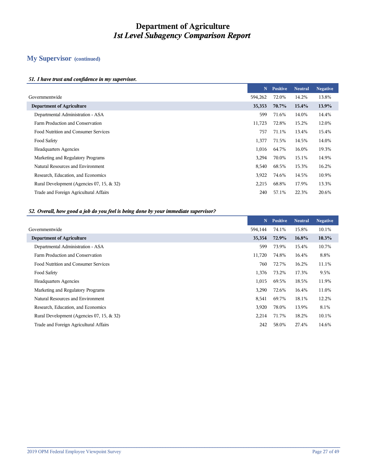## **My Supervisor (continued)**

#### *51. I have trust and confidence in my supervisor.*

|                                           | N       | <b>Positive</b> | <b>Neutral</b> | <b>Negative</b> |
|-------------------------------------------|---------|-----------------|----------------|-----------------|
|                                           | 594,262 | 72.0%           | 14.2%          | 13.8%           |
| <b>Department of Agriculture</b>          | 35,353  | 70.7%           | 15.4%          | 13.9%           |
| Departmental Administration - ASA         | 599     | 71.6%           | 14.0%          | 14.4%           |
| Farm Production and Conservation          | 11,723  | 72.8%           | 15.2%          | 12.0%           |
| Food Nutrition and Consumer Services      | 757     | 71.1%           | 13.4%          | 15.4%           |
| Food Safety                               | 1,377   | 71.5%           | 14.5%          | 14.0%           |
| <b>Headquarters Agencies</b>              | 1,016   | 64.7%           | 16.0%          | 19.3%           |
| Marketing and Regulatory Programs         | 3,294   | 70.0%           | 15.1%          | 14.9%           |
| Natural Resources and Environment         | 8,540   | 68.5%           | 15.3%          | 16.2%           |
| Research, Education, and Economics        | 3,922   | 74.6%           | 14.5%          | 10.9%           |
| Rural Development (Agencies 07, 15, & 32) | 2,215   | 68.8%           | 17.9%          | 13.3%           |
| Trade and Foreign Agricultural Affairs    | 240     | 57.1%           | 22.3%          | 20.6%           |
|                                           |         |                 |                |                 |

#### *52. Overall, how good a job do you feel is being done by your immediate supervisor?*

|                                           | N       | <b>Positive</b> | <b>Neutral</b> | <b>Negative</b> |
|-------------------------------------------|---------|-----------------|----------------|-----------------|
| Governmentwide                            | 594,144 | 74.1%           | 15.8%          | 10.1%           |
| <b>Department of Agriculture</b>          | 35,354  | 72.9%           | 16.8%          | 10.3%           |
| Departmental Administration - ASA         | 599     | 73.9%           | 15.4%          | 10.7%           |
| Farm Production and Conservation          | 11,720  | 74.8%           | 16.4%          | 8.8%            |
| Food Nutrition and Consumer Services      | 760     | 72.7%           | 16.2%          | 11.1%           |
| Food Safety                               | 1,376   | 73.2%           | 17.3%          | 9.5%            |
| <b>Headquarters Agencies</b>              | 1,015   | 69.5%           | 18.5%          | 11.9%           |
| Marketing and Regulatory Programs         | 3,290   | 72.6%           | 16.4%          | 11.0%           |
| Natural Resources and Environment         | 8,541   | 69.7%           | 18.1%          | 12.2%           |
| Research, Education, and Economics        | 3,920   | 78.0%           | 13.9%          | 8.1%            |
| Rural Development (Agencies 07, 15, & 32) | 2,214   | 71.7%           | 18.2%          | 10.1%           |
| Trade and Foreign Agricultural Affairs    | 242     | 58.0%           | 27.4%          | 14.6%           |
|                                           |         |                 |                |                 |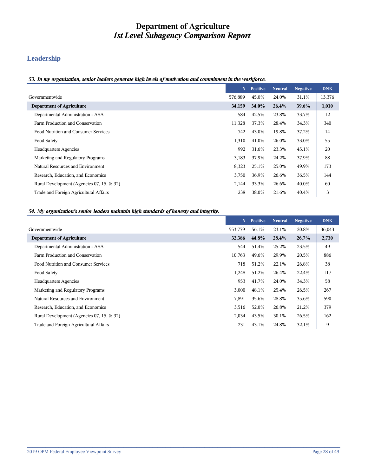## **Leadership**

#### *53. In my organization, senior leaders generate high levels of motivation and commitment in the workforce.*

|                                           | N       | <b>Positive</b> | <b>Neutral</b> | <b>Negative</b> | <b>DNK</b> |
|-------------------------------------------|---------|-----------------|----------------|-----------------|------------|
| Governmentwide                            | 576,889 | 45.0%           | 24.0%          | 31.1%           | 13,376     |
| <b>Department of Agriculture</b>          | 34,159  | 34.0%           | 26.4%          | $39.6\%$        | 1,010      |
| Departmental Administration - ASA         | 584     | 42.5%           | 23.8%          | 33.7%           | 12         |
| Farm Production and Conservation          | 11,328  | 37.3%           | 28.4%          | 34.3%           | 340        |
| Food Nutrition and Consumer Services      | 742     | 43.0%           | 19.8%          | 37.2%           | 14         |
| Food Safety                               | 1,310   | 41.0%           | 26.0%          | 33.0%           | 55         |
| <b>Headquarters Agencies</b>              | 992     | 31.6%           | 23.3%          | 45.1%           | 20         |
| Marketing and Regulatory Programs         | 3,183   | 37.9%           | 24.2%          | 37.9%           | 88         |
| Natural Resources and Environment         | 8,323   | 25.1%           | 25.0%          | 49.9%           | 173        |
| Research, Education, and Economics        | 3,750   | 36.9%           | 26.6%          | 36.5%           | 144        |
| Rural Development (Agencies 07, 15, & 32) | 2,144   | 33.3%           | 26.6%          | 40.0%           | 60         |
| Trade and Foreign Agricultural Affairs    | 238     | 38.0%           | 21.6%          | 40.4%           | 3          |

#### *54. My organization's senior leaders maintain high standards of honesty and integrity.*

|                                           | N       | <b>Positive</b> | <b>Neutral</b> | <b>Negative</b> | <b>DNK</b> |
|-------------------------------------------|---------|-----------------|----------------|-----------------|------------|
| Governmentwide                            | 553,779 | 56.1%           | 23.1%          | 20.8%           | 36,043     |
| <b>Department of Agriculture</b>          | 32,386  | 44.8%           | 28.4%          | 26.7%           | 2,730      |
| Departmental Administration - ASA         | 544     | 51.4%           | 25.2%          | 23.5%           | 49         |
| Farm Production and Conservation          | 10,763  | 49.6%           | 29.9%          | 20.5%           | 886        |
| Food Nutrition and Consumer Services      | 718     | 51.2%           | 22.1%          | 26.8%           | 38         |
| Food Safety                               | 1,248   | 51.2%           | 26.4%          | 22.4%           | 117        |
| <b>Headquarters Agencies</b>              | 953     | 41.7%           | 24.0%          | 34.3%           | 58         |
| Marketing and Regulatory Programs         | 3,000   | 48.1%           | 25.4%          | 26.5%           | 267        |
| Natural Resources and Environment         | 7,891   | 35.6%           | 28.8%          | 35.6%           | 590        |
| Research, Education, and Economics        | 3,516   | 52.0%           | 26.8%          | 21.2%           | 379        |
| Rural Development (Agencies 07, 15, & 32) | 2,034   | 43.5%           | 30.1%          | 26.5%           | 162        |
| Trade and Foreign Agricultural Affairs    | 231     | 43.1%           | 24.8%          | 32.1%           | 9          |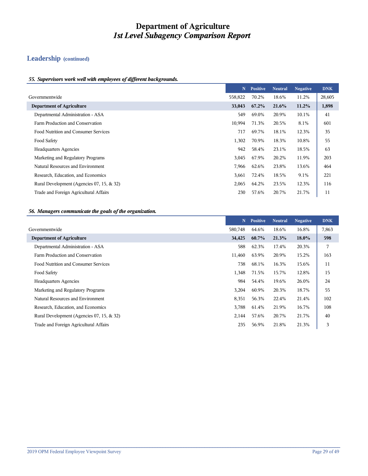## **Leadership (continued)**

#### *55. Supervisors work well with employees of different backgrounds.*

|                                           | N       | <b>Positive</b> | <b>Neutral</b> | <b>Negative</b> | <b>DNK</b> |
|-------------------------------------------|---------|-----------------|----------------|-----------------|------------|
| Governmentwide                            | 558,822 | 70.2%           | 18.6%          | 11.2%           | 28,605     |
| <b>Department of Agriculture</b>          | 33,043  | $67.2\%$        | 21.6%          | 11.2%           | 1,898      |
| Departmental Administration - ASA         | 549     | 69.0%           | 20.9%          | 10.1%           | 41         |
| Farm Production and Conservation          | 10,994  | 71.3%           | 20.5%          | 8.1%            | 601        |
| Food Nutrition and Consumer Services      | 717     | 69.7%           | 18.1%          | 12.3%           | 35         |
| Food Safety                               | 1,302   | 70.9%           | 18.3%          | 10.8%           | 55         |
| <b>Headquarters Agencies</b>              | 942     | 58.4%           | 23.1%          | 18.5%           | 63         |
| Marketing and Regulatory Programs         | 3,045   | 67.9%           | 20.2%          | 11.9%           | 203        |
| Natural Resources and Environment         | 7,966   | 62.6%           | 23.8%          | 13.6%           | 464        |
| Research, Education, and Economics        | 3,661   | 72.4%           | 18.5%          | 9.1%            | 221        |
| Rural Development (Agencies 07, 15, & 32) | 2,065   | 64.2%           | 23.5%          | 12.3%           | 116        |
| Trade and Foreign Agricultural Affairs    | 230     | 57.6%           | 20.7%          | 21.7%           | 11         |

#### *56. Managers communicate the goals of the organization.*

|                                           | N       | <b>Positive</b> | <b>Neutral</b> | <b>Negative</b> | <b>DNK</b> |
|-------------------------------------------|---------|-----------------|----------------|-----------------|------------|
| Governmentwide                            | 580,748 | 64.6%           | 18.6%          | 16.8%           | 7,863      |
| <b>Department of Agriculture</b>          | 34,425  | 60.7%           | 21.3%          | $18.0\%$        | 598        |
| Departmental Administration - ASA         | 588     | 62.3%           | 17.4%          | 20.3%           | 7          |
| Farm Production and Conservation          | 11,460  | 63.9%           | 20.9%          | 15.2%           | 163        |
| Food Nutrition and Consumer Services      | 738     | 68.1%           | 16.3%          | 15.6%           | 11         |
| Food Safety                               | 1,348   | 71.5%           | 15.7%          | 12.8%           | 15         |
| <b>Headquarters Agencies</b>              | 984     | 54.4%           | 19.6%          | 26.0%           | 24         |
| Marketing and Regulatory Programs         | 3,204   | 60.9%           | 20.3%          | 18.7%           | 55         |
| Natural Resources and Environment         | 8,351   | 56.3%           | 22.4%          | 21.4%           | 102        |
| Research, Education, and Economics        | 3,788   | 61.4%           | 21.9%          | 16.7%           | 108        |
| Rural Development (Agencies 07, 15, & 32) | 2,144   | 57.6%           | 20.7%          | 21.7%           | 40         |
| Trade and Foreign Agricultural Affairs    | 235     | 56.9%           | 21.8%          | 21.3%           | 3          |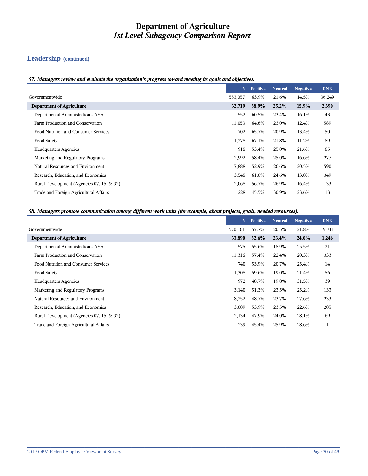## **Leadership (continued)**

#### *57. Managers review and evaluate the organization's progress toward meeting its goals and objectives.*

|                                           | N.      | <b>Positive</b> | <b>Neutral</b> | <b>Negative</b> | <b>DNK</b> |
|-------------------------------------------|---------|-----------------|----------------|-----------------|------------|
| Governmentwide                            | 553,057 | 63.9%           | 21.6%          | 14.5%           | 36,249     |
| <b>Department of Agriculture</b>          | 32,719  | 58.9%           | 25.2%          | 15.9%           | 2,390      |
| Departmental Administration - ASA         | 552     | 60.5%           | 23.4%          | 16.1%           | 43         |
| Farm Production and Conservation          | 11,053  | 64.6%           | 23.0%          | 12.4%           | 589        |
| Food Nutrition and Consumer Services      | 702     | 65.7%           | 20.9%          | 13.4%           | 50         |
| Food Safety                               | 1,278   | 67.1%           | 21.8%          | 11.2%           | 89         |
| <b>Headquarters Agencies</b>              | 918     | 53.4%           | 25.0%          | 21.6%           | 85         |
| Marketing and Regulatory Programs         | 2,992   | 58.4%           | 25.0%          | 16.6%           | 277        |
| Natural Resources and Environment         | 7,888   | 52.9%           | 26.6%          | 20.5%           | 590        |
| Research, Education, and Economics        | 3,548   | 61.6%           | 24.6%          | 13.8%           | 349        |
| Rural Development (Agencies 07, 15, & 32) | 2,068   | 56.7%           | 26.9%          | 16.4%           | 133        |
| Trade and Foreign Agricultural Affairs    | 228     | 45.5%           | 30.9%          | 23.6%           | 13         |

#### *58. Managers promote communication among different work units (for example, about projects, goals, needed resources).*

|                                           | N       | <b>Positive</b> | <b>Neutral</b> | <b>Negative</b> | <b>DNK</b>   |
|-------------------------------------------|---------|-----------------|----------------|-----------------|--------------|
| Governmentwide                            | 570,161 | 57.7%           | 20.5%          | 21.8%           | 19,711       |
| <b>Department of Agriculture</b>          | 33,890  | $52.6\%$        | 23.4%          | 24.0%           | 1,246        |
| Departmental Administration - ASA         | 575     | 55.6%           | 18.9%          | 25.5%           | 21           |
| Farm Production and Conservation          | 11,316  | 57.4%           | 22.4%          | 20.3%           | 333          |
| Food Nutrition and Consumer Services      | 740     | 53.9%           | 20.7%          | 25.4%           | 14           |
| Food Safety                               | 1,308   | 59.6%           | 19.0%          | 21.4%           | 56           |
| <b>Headquarters Agencies</b>              | 972     | 48.7%           | 19.8%          | 31.5%           | 39           |
| Marketing and Regulatory Programs         | 3,140   | 51.3%           | 23.5%          | 25.2%           | 133          |
| Natural Resources and Environment         | 8,252   | 48.7%           | 23.7%          | 27.6%           | 233          |
| Research, Education, and Economics        | 3,689   | 53.9%           | 23.5%          | 22.6%           | 205          |
| Rural Development (Agencies 07, 15, & 32) | 2,134   | 47.9%           | 24.0%          | 28.1%           | 69           |
| Trade and Foreign Agricultural Affairs    | 239     | 45.4%           | 25.9%          | 28.6%           | $\mathbf{1}$ |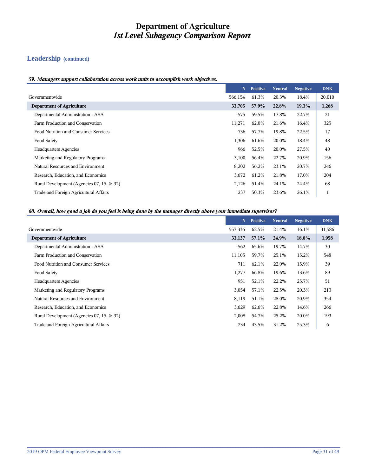## **Leadership (continued)**

#### *59. Managers support collaboration across work units to accomplish work objectives.*

|                                           | N.      | <b>Positive</b> | <b>Neutral</b> | <b>Negative</b> | <b>DNK</b> |
|-------------------------------------------|---------|-----------------|----------------|-----------------|------------|
| Governmentwide                            | 566,154 | 61.3%           | 20.3%          | 18.4%           | 20,010     |
| <b>Department of Agriculture</b>          | 33,705  | 57.9%           | 22.8%          | 19.3%           | 1,268      |
| Departmental Administration - ASA         | 575     | 59.5%           | 17.8%          | 22.7%           | 21         |
| Farm Production and Conservation          | 11,271  | 62.0%           | 21.6%          | 16.4%           | 325        |
| Food Nutrition and Consumer Services      | 736     | 57.7%           | 19.8%          | 22.5%           | 17         |
| Food Safety                               | 1,306   | 61.6%           | 20.0%          | 18.4%           | 48         |
| <b>Headquarters Agencies</b>              | 966     | 52.5%           | 20.0%          | 27.5%           | 40         |
| Marketing and Regulatory Programs         | 3,100   | 56.4%           | 22.7%          | 20.9%           | 156        |
| Natural Resources and Environment         | 8,202   | 56.2%           | 23.1%          | 20.7%           | 246        |
| Research, Education, and Economics        | 3,672   | 61.2%           | 21.8%          | 17.0%           | 204        |
| Rural Development (Agencies 07, 15, & 32) | 2,126   | 51.4%           | 24.1%          | 24.4%           | 68         |
| Trade and Foreign Agricultural Affairs    | 237     | 50.3%           | 23.6%          | 26.1%           |            |

#### *60. Overall, how good a job do you feel is being done by the manager directly above your immediate supervisor?*

|                                           | N       | <b>Positive</b> | <b>Neutral</b> | <b>Negative</b> | <b>DNK</b> |
|-------------------------------------------|---------|-----------------|----------------|-----------------|------------|
| Governmentwide                            | 557,336 | 62.5%           | 21.4%          | 16.1%           | 31,586     |
| <b>Department of Agriculture</b>          | 33,137  | 57.1%           | 24.9%          | 18.0%           | 1,958      |
| Departmental Administration - ASA         | 562     | 65.6%           | 19.7%          | 14.7%           | 30         |
| Farm Production and Conservation          | 11,105  | 59.7%           | 25.1%          | 15.2%           | 548        |
| Food Nutrition and Consumer Services      | 711     | 62.1%           | 22.0%          | 15.9%           | 39         |
| Food Safety                               | 1,277   | 66.8%           | 19.6%          | 13.6%           | 89         |
| <b>Headquarters Agencies</b>              | 951     | 52.1%           | 22.2%          | 25.7%           | 51         |
| Marketing and Regulatory Programs         | 3,054   | 57.1%           | 22.5%          | 20.3%           | 213        |
| Natural Resources and Environment         | 8,119   | 51.1%           | 28.0%          | 20.9%           | 354        |
| Research, Education, and Economics        | 3,629   | 62.6%           | 22.8%          | 14.6%           | 266        |
| Rural Development (Agencies 07, 15, & 32) | 2,008   | 54.7%           | 25.2%          | 20.0%           | 193        |
| Trade and Foreign Agricultural Affairs    | 234     | 43.5%           | 31.2%          | 25.3%           | 6          |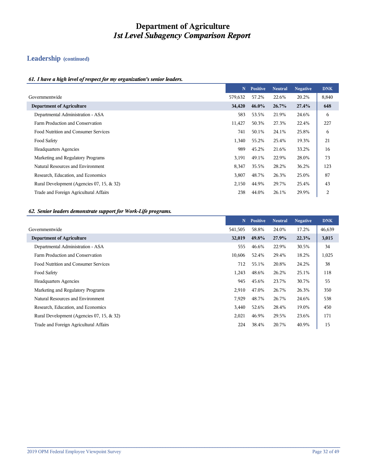## **Leadership (continued)**

#### *61. I have a high level of respect for my organization's senior leaders.*

|                                           | N       | <b>Positive</b> | <b>Neutral</b> | <b>Negative</b> | <b>DNK</b> |
|-------------------------------------------|---------|-----------------|----------------|-----------------|------------|
| Governmentwide                            | 579,632 | 57.2%           | 22.6%          | 20.2%           | 8,840      |
| <b>Department of Agriculture</b>          | 34,420  | $46.0\%$        | 26.7%          | 27.4%           | 648        |
| Departmental Administration - ASA         | 583     | 53.5%           | 21.9%          | 24.6%           | 6          |
| Farm Production and Conservation          | 11,427  | 50.3%           | 27.3%          | 22.4%           | 227        |
| Food Nutrition and Consumer Services      | 741     | 50.1%           | 24.1%          | 25.8%           | 6          |
| Food Safety                               | 1,340   | 55.2%           | 25.4%          | 19.3%           | 21         |
| <b>Headquarters Agencies</b>              | 989     | 45.2%           | 21.6%          | 33.2%           | 16         |
| Marketing and Regulatory Programs         | 3,191   | 49.1%           | 22.9%          | 28.0%           | 73         |
| Natural Resources and Environment         | 8,347   | 35.5%           | 28.2%          | 36.2%           | 123        |
| Research, Education, and Economics        | 3,807   | 48.7%           | 26.3%          | 25.0%           | 87         |
| Rural Development (Agencies 07, 15, & 32) | 2,150   | 44.9%           | 29.7%          | 25.4%           | 43         |
| Trade and Foreign Agricultural Affairs    | 238     | 44.0%           | 26.1%          | 29.9%           | 2          |

#### *62. Senior leaders demonstrate support for Work-Life programs.*

|                                           | N       | <b>Positive</b> | <b>Neutral</b> | <b>Negative</b> | <b>DNK</b> |
|-------------------------------------------|---------|-----------------|----------------|-----------------|------------|
| Governmentwide                            | 541,505 | 58.8%           | 24.0%          | 17.2%           | 46,639     |
| <b>Department of Agriculture</b>          | 32,019  | 49.8%           | 27.9%          | 22.3%           | 3,015      |
| Departmental Administration - ASA         | 555     | 46.6%           | 22.9%          | 30.5%           | 34         |
| Farm Production and Conservation          | 10,606  | 52.4%           | 29.4%          | 18.2%           | 1,025      |
| Food Nutrition and Consumer Services      | 712     | 55.1%           | 20.8%          | 24.2%           | 38         |
| Food Safety                               | 1,243   | 48.6%           | 26.2%          | 25.1%           | 118        |
| <b>Headquarters Agencies</b>              | 945     | 45.6%           | 23.7%          | 30.7%           | 55         |
| Marketing and Regulatory Programs         | 2,910   | 47.0%           | 26.7%          | 26.3%           | 350        |
| Natural Resources and Environment         | 7,929   | 48.7%           | 26.7%          | 24.6%           | 538        |
| Research, Education, and Economics        | 3,440   | 52.6%           | 28.4%          | 19.0%           | 450        |
| Rural Development (Agencies 07, 15, & 32) | 2,021   | 46.9%           | 29.5%          | 23.6%           | 171        |
| Trade and Foreign Agricultural Affairs    | 224     | 38.4%           | 20.7%          | 40.9%           | 15         |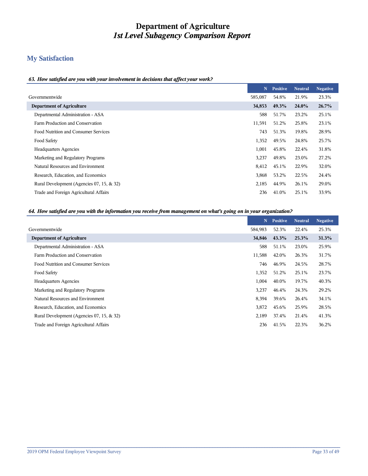## **My Satisfaction**

#### *63. How satisfied are you with your involvement in decisions that affect your work?*

|                                           | N       | <b>Positive</b> | <b>Neutral</b> | <b>Negative</b> |
|-------------------------------------------|---------|-----------------|----------------|-----------------|
| Governmentwide                            | 585,087 | 54.8%           | 21.9%          | 23.3%           |
| <b>Department of Agriculture</b>          | 34,853  | 49.3%           | 24.0%          | 26.7%           |
| Departmental Administration - ASA         | 588     | 51.7%           | 23.2%          | 25.1%           |
| Farm Production and Conservation          | 11,591  | 51.2%           | 25.8%          | 23.1%           |
| Food Nutrition and Consumer Services      | 743     | 51.3%           | 19.8%          | 28.9%           |
| Food Safety                               | 1,352   | 49.5%           | 24.8%          | 25.7%           |
| <b>Headquarters Agencies</b>              | 1,001   | 45.8%           | 22.4%          | 31.8%           |
| Marketing and Regulatory Programs         | 3,237   | 49.8%           | 23.0%          | 27.2%           |
| Natural Resources and Environment         | 8,412   | 45.1%           | 22.9%          | 32.0%           |
| Research, Education, and Economics        | 3,868   | 53.2%           | 22.5%          | 24.4%           |
| Rural Development (Agencies 07, 15, & 32) | 2,185   | 44.9%           | 26.1%          | 29.0%           |
| Trade and Foreign Agricultural Affairs    | 236     | 41.0%           | 25.1%          | 33.9%           |

#### *64. How satisfied are you with the information you receive from management on what's going on in your organization?*

|                                           | N       | <b>Positive</b> | <b>Neutral</b> | <b>Negative</b> |
|-------------------------------------------|---------|-----------------|----------------|-----------------|
|                                           | 584,983 | 52.3%           | 22.4%          | 25.3%           |
| <b>Department of Agriculture</b>          | 34,846  | 43.3%           | 25.3%          | 31.3%           |
| Departmental Administration - ASA         | 588     | 51.1%           | 23.0%          | 25.9%           |
| Farm Production and Conservation          | 11,588  | 42.0%           | 26.3%          | 31.7%           |
| Food Nutrition and Consumer Services      | 746     | 46.9%           | 24.5%          | 28.7%           |
|                                           | 1,352   | 51.2%           | 25.1%          | 23.7%           |
| <b>Headquarters Agencies</b>              | 1,004   | 40.0%           | 19.7%          | 40.3%           |
| Marketing and Regulatory Programs         | 3,237   | 46.4%           | 24.3%          | 29.2%           |
| Natural Resources and Environment         | 8,394   | 39.6%           | 26.4%          | 34.1%           |
| Research, Education, and Economics        | 3,872   | 45.6%           | 25.9%          | 28.5%           |
| Rural Development (Agencies 07, 15, & 32) | 2,189   | 37.4%           | 21.4%          | 41.3%           |
| Trade and Foreign Agricultural Affairs    | 236     | 41.5%           | 22.3%          | 36.2%           |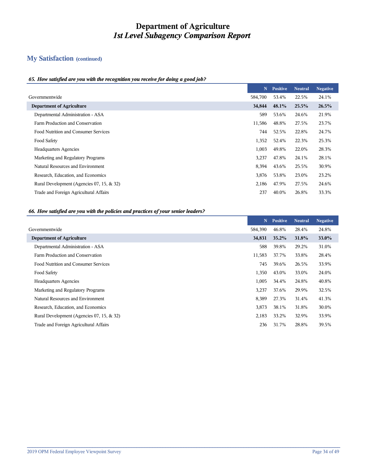# **My Satisfaction (continued)**

#### *65. How satisfied are you with the recognition you receive for doing a good job?*

|                                           | N       | <b>Positive</b> | <b>Neutral</b> | <b>Negative</b> |
|-------------------------------------------|---------|-----------------|----------------|-----------------|
| Governmentwide                            | 584,700 | 53.4%           | 22.5%          | 24.1%           |
| <b>Department of Agriculture</b>          | 34,844  | 48.1%           | 25.5%          | 26.5%           |
| Departmental Administration - ASA         | 589     | 53.6%           | 24.6%          | 21.9%           |
| Farm Production and Conservation          | 11,586  | 48.8%           | 27.5%          | 23.7%           |
| Food Nutrition and Consumer Services      | 744     | 52.5%           | 22.8%          | 24.7%           |
| Food Safety                               | 1,352   | 52.4%           | 22.3%          | 25.3%           |
| <b>Headquarters Agencies</b>              | 1,003   | 49.8%           | 22.0%          | 28.3%           |
| Marketing and Regulatory Programs         | 3,237   | 47.8%           | 24.1%          | 28.1%           |
| Natural Resources and Environment         | 8,394   | 43.6%           | 25.5%          | 30.9%           |
| Research, Education, and Economics        | 3,876   | 53.8%           | 23.0%          | 23.2%           |
| Rural Development (Agencies 07, 15, & 32) | 2,186   | 47.9%           | 27.5%          | 24.6%           |
| Trade and Foreign Agricultural Affairs    | 237     | 40.0%           | 26.8%          | 33.3%           |

#### *66. How satisfied are you with the policies and practices of your senior leaders?*

|                                           | N       | <b>Positive</b> | Neutral | <b>Negative</b> |
|-------------------------------------------|---------|-----------------|---------|-----------------|
| Governmentwide                            | 584,390 | 46.8%           | 28.4%   | 24.8%           |
| <b>Department of Agriculture</b>          | 34,831  | $35.2\%$        | 31.8%   | <b>33.0%</b>    |
| Departmental Administration - ASA         | 588     | 39.8%           | 29.2%   | 31.0%           |
| Farm Production and Conservation          | 11,583  | 37.7%           | 33.8%   | 28.4%           |
| Food Nutrition and Consumer Services      | 745     | 39.6%           | 26.5%   | 33.9%           |
| Food Safety                               | 1,350   | 43.0%           | 33.0%   | 24.0%           |
| <b>Headquarters Agencies</b>              | 1,005   | 34.4%           | 24.8%   | 40.8%           |
| Marketing and Regulatory Programs         | 3,237   | 37.6%           | 29.9%   | 32.5%           |
| Natural Resources and Environment         | 8,389   | 27.3%           | 31.4%   | 41.3%           |
| Research, Education, and Economics        | 3,873   | 38.1%           | 31.8%   | 30.0%           |
| Rural Development (Agencies 07, 15, & 32) | 2,183   | 33.2%           | 32.9%   | 33.9%           |
| Trade and Foreign Agricultural Affairs    | 236     | 31.7%           | 28.8%   | 39.5%           |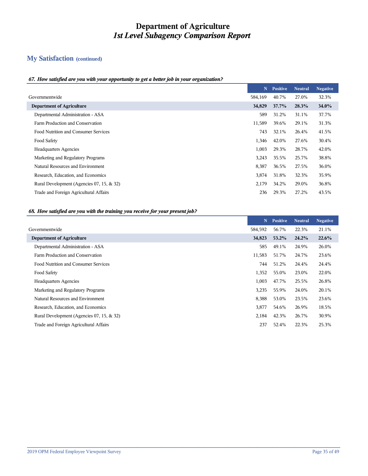# **My Satisfaction (continued)**

#### *67. How satisfied are you with your opportunity to get a better job in your organization?*

|                                           | N       | <b>Positive</b> | <b>Neutral</b> | <b>Negative</b> |
|-------------------------------------------|---------|-----------------|----------------|-----------------|
| Governmentwide                            | 584,169 | 40.7%           | 27.0%          | 32.3%           |
| <b>Department of Agriculture</b>          | 34,829  | 37.7%           | 28.3%          | <b>34.0%</b>    |
| Departmental Administration - ASA         | 589     | 31.2%           | 31.1%          | 37.7%           |
| Farm Production and Conservation          | 11,589  | 39.6%           | 29.1%          | 31.3%           |
| Food Nutrition and Consumer Services      | 743     | 32.1%           | 26.4%          | 41.5%           |
| Food Safety                               | 1,346   | 42.0%           | 27.6%          | 30.4%           |
| <b>Headquarters Agencies</b>              | 1,003   | 29.3%           | 28.7%          | 42.0%           |
| Marketing and Regulatory Programs         | 3,243   | 35.5%           | 25.7%          | 38.8%           |
| Natural Resources and Environment         | 8,387   | 36.5%           | 27.5%          | 36.0%           |
| Research, Education, and Economics        | 3,874   | 31.8%           | 32.3%          | 35.9%           |
| Rural Development (Agencies 07, 15, & 32) | 2,179   | 34.2%           | 29.0%          | 36.8%           |
| Trade and Foreign Agricultural Affairs    | 236     | 29.3%           | 27.2%          | 43.5%           |
|                                           |         |                 |                |                 |

#### *68. How satisfied are you with the training you receive for your present job?*

|                                           | N       | <b>Positive</b> | <b>Neutral</b> | <b>Negative</b> |
|-------------------------------------------|---------|-----------------|----------------|-----------------|
| Governmentwide                            | 584,592 | 56.7%           | 22.3%          | 21.1%           |
| <b>Department of Agriculture</b>          | 34,823  | 53.2%           | 24.2%          | 22.6%           |
| Departmental Administration - ASA         | 585     | 49.1%           | 24.9%          | 26.0%           |
| Farm Production and Conservation          | 11,583  | 51.7%           | 24.7%          | 23.6%           |
| Food Nutrition and Consumer Services      | 744     | 51.2%           | 24.4%          | 24.4%           |
| Food Safety                               | 1,352   | 55.0%           | 23.0%          | 22.0%           |
| <b>Headquarters Agencies</b>              | 1,003   | 47.7%           | 25.5%          | 26.8%           |
| Marketing and Regulatory Programs         | 3,235   | 55.9%           | 24.0%          | 20.1%           |
| Natural Resources and Environment         | 8,388   | 53.0%           | 23.5%          | 23.6%           |
| Research, Education, and Economics        | 3,877   | 54.6%           | 26.9%          | 18.5%           |
| Rural Development (Agencies 07, 15, & 32) | 2,184   | 42.3%           | 26.7%          | 30.9%           |
| Trade and Foreign Agricultural Affairs    | 237     | 52.4%           | 22.3%          | 25.3%           |
|                                           |         |                 |                |                 |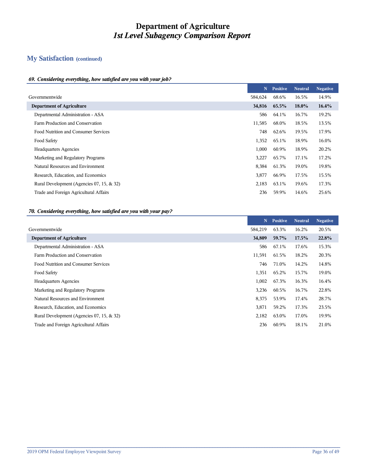## **My Satisfaction (continued)**

#### *69. Considering everything, how satisfied are you with your job?*

|                                           | N       | <b>Positive</b> | <b>Neutral</b> | <b>Negative</b> |
|-------------------------------------------|---------|-----------------|----------------|-----------------|
| Governmentwide                            | 584,624 | 68.6%           | 16.5%          | 14.9%           |
| <b>Department of Agriculture</b>          | 34,816  | 65.5%           | $18.0\%$       | $16.4\%$        |
| Departmental Administration - ASA         | 586     | 64.1%           | 16.7%          | 19.2%           |
| Farm Production and Conservation          | 11,585  | 68.0%           | 18.5%          | 13.5%           |
| Food Nutrition and Consumer Services      | 748     | 62.6%           | 19.5%          | 17.9%           |
| Food Safety                               | 1,352   | 65.1%           | 18.9%          | 16.0%           |
| <b>Headquarters Agencies</b>              | 1,000   | 60.9%           | 18.9%          | 20.2%           |
| Marketing and Regulatory Programs         | 3,227   | 65.7%           | 17.1%          | 17.2%           |
| Natural Resources and Environment         | 8,384   | 61.3%           | 19.0%          | 19.8%           |
| Research, Education, and Economics        | 3,877   | 66.9%           | 17.5%          | 15.5%           |
| Rural Development (Agencies 07, 15, & 32) | 2,183   | 63.1%           | 19.6%          | 17.3%           |
| Trade and Foreign Agricultural Affairs    | 236     | 59.9%           | 14.6%          | 25.6%           |
|                                           |         |                 |                |                 |

#### *70. Considering everything, how satisfied are you with your pay?*

|                                           | N       | <b>Positive</b> | <b>Neutral</b> | <b>Negative</b> |
|-------------------------------------------|---------|-----------------|----------------|-----------------|
| Governmentwide                            | 584,219 | 63.3%           | 16.2%          | 20.5%           |
| <b>Department of Agriculture</b>          | 34,809  | 59.7%           | 17.5%          | 22.8%           |
| Departmental Administration - ASA         | 586     | 67.1%           | 17.6%          | 15.3%           |
| Farm Production and Conservation          | 11,591  | 61.5%           | 18.2%          | 20.3%           |
| Food Nutrition and Consumer Services      | 746     | 71.0%           | 14.2%          | 14.8%           |
| Food Safety                               | 1,351   | 65.2%           | 15.7%          | 19.0%           |
| <b>Headquarters Agencies</b>              | 1,002   | 67.3%           | 16.3%          | 16.4%           |
| Marketing and Regulatory Programs         | 3,236   | 60.5%           | 16.7%          | 22.8%           |
| Natural Resources and Environment         | 8,375   | 53.9%           | 17.4%          | 28.7%           |
| Research, Education, and Economics        | 3,871   | 59.2%           | 17.3%          | 23.5%           |
| Rural Development (Agencies 07, 15, & 32) | 2,182   | 63.0%           | 17.0%          | 19.9%           |
| Trade and Foreign Agricultural Affairs    | 236     | 60.9%           | 18.1%          | 21.0%           |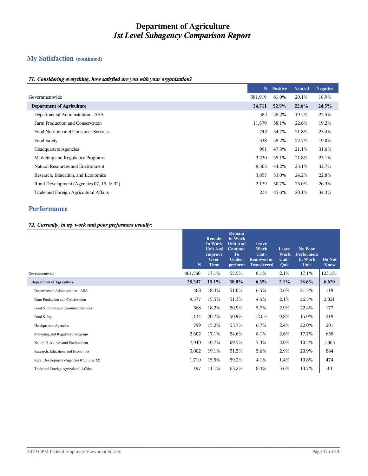## **My Satisfaction (continued)**

#### *71. Considering everything, how satisfied are you with your organization?*

|                                           | N       | <b>Positive</b> | <b>Neutral</b> | <b>Negative</b> |
|-------------------------------------------|---------|-----------------|----------------|-----------------|
| Governmentwide                            | 581,919 | 61.0%           | 20.1%          | 18.9%           |
| <b>Department of Agriculture</b>          | 34,711  | 52.9%           | 22.6%          | 24.5%           |
| Departmental Administration - ASA         | 582     | 58.2%           | 19.2%          | 22.5%           |
| Farm Production and Conservation          | 11,579  | 58.1%           | 22.6%          | 19.2%           |
| Food Nutrition and Consumer Services      | 742     | 54.7%           | 21.8%          | 23.4%           |
| Food Safety                               | 1,338   | 58.2%           | 22.7%          | 19.0%           |
| <b>Headquarters Agencies</b>              | 991     | 47.3%           | 21.1%          | 31.6%           |
| Marketing and Regulatory Programs         | 3,230   | 55.1%           | 21.8%          | 23.1%           |
| Natural Resources and Environment         | 8,363   | 44.2%           | 23.1%          | 32.7%           |
| Research, Education, and Economics        | 3,857   | 53.0%           | 24.2%          | 22.8%           |
| Rural Development (Agencies 07, 15, & 32) | 2,179   | 50.7%           | 23.0%          | 26.3%           |
| Trade and Foreign Agricultural Affairs    | 234     | 45.6%           | 20.1%          | 34.3%           |

## **Performance**

#### *72. Currently, in my work unit poor performers usually:*

|                                           | N       | Remain<br>In Work<br><b>Unit And</b><br>Improve<br>Over<br><b>Time</b> | Remain<br>In Work<br><b>Unit And</b><br><b>Continue</b><br><b>To</b><br>Under-<br>perform | Leave<br>Work<br>Unit-<br><b>Removed or</b><br><b>Transferred</b> | Leave<br>Work<br>Unit-<br>Quit | No Poor<br><b>Performers</b><br>In Work<br>Unit | Do Not<br><b>Know</b> |
|-------------------------------------------|---------|------------------------------------------------------------------------|-------------------------------------------------------------------------------------------|-------------------------------------------------------------------|--------------------------------|-------------------------------------------------|-----------------------|
| Governmentwide                            | 461,560 | 17.1%                                                                  | 55.5%                                                                                     | 8.1%                                                              | 2.1%                           | 17.1%                                           | 123,151               |
| <b>Department of Agriculture</b>          | 28,247  | 15.1%                                                                  | 58.0%                                                                                     | 6.3%                                                              | 2.1%                           | 18.6%                                           | 6,620                 |
| Departmental Administration - ASA         | 468     | 18.4%                                                                  | 51.0%                                                                                     | 6.5%                                                              | 2.6%                           | 21.5%                                           | 119                   |
| Farm Production and Conservation          | 9,577   | 15.5%                                                                  | 51.3%                                                                                     | 4.5%                                                              | 2.1%                           | 26.5%                                           | 2,021                 |
| Food Nutrition and Consumer Services      | 568     | 18.2%                                                                  | 50.9%                                                                                     | 5.7%                                                              | 2.9%                           | 22.4%                                           | 177                   |
| Food Safety                               | 1,134   | 20.7%                                                                  | 50.9%                                                                                     | 12.6%                                                             | $0.8\%$                        | 15.0%                                           | 219                   |
| <b>Headquarters Agencies</b>              | 799     | 15.2%                                                                  | 53.7%                                                                                     | 6.7%                                                              | 2.4%                           | 22.0%                                           | 201                   |
| Marketing and Regulatory Programs         | 2,602   | 17.1%                                                                  | 54.6%                                                                                     | 8.1%                                                              | 2.6%                           | 17.7%                                           | 638                   |
| Natural Resources and Environment         | 7,040   | 10.7%                                                                  | 69.5%                                                                                     | 7.3%                                                              | 2.0%                           | 10.5%                                           | 1,363                 |
| Research, Education, and Economics        | 3,002   | 19.1%                                                                  | 51.5%                                                                                     | 5.6%                                                              | 2.9%                           | 20.9%                                           | 884                   |
| Rural Development (Agencies 07, 15, & 32) | 1,710   | 15.5%                                                                  | 59.2%                                                                                     | 4.1%                                                              | 1.4%                           | 19.8%                                           | 474                   |
| Trade and Foreign Agricultural Affairs    | 197     | 11.1%                                                                  | 63.2%                                                                                     | 8.4%                                                              | 3.6%                           | 13.7%                                           | 40                    |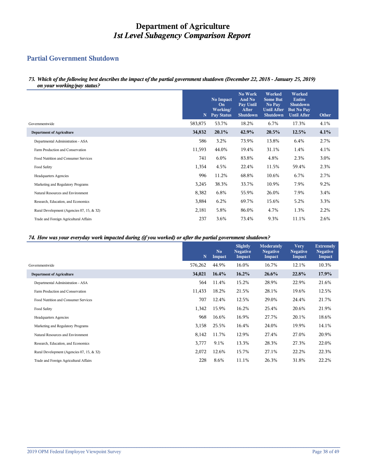## **Partial Government Shutdown**

*73. Which of the following best describes the impact of the partial government shutdown (December 22, 2018 - January 25, 2019) on your working/pay status?*

|                                           | $\mathbf N$ | No Impact<br>On<br>Working/<br><b>Pay Status</b> | No Work<br>And No<br>Pay Until<br>After<br><b>Shutdown</b> | Worked<br><b>Some But</b><br>No Pay<br><b>Until After</b><br>Shutdown | Worked<br><b>Entire</b><br><b>Shutdown</b><br><b>But No Pay</b><br><b>Until After</b> | Other |
|-------------------------------------------|-------------|--------------------------------------------------|------------------------------------------------------------|-----------------------------------------------------------------------|---------------------------------------------------------------------------------------|-------|
| Governmentwide                            | 583,875     | 53.7%                                            | 18.2%                                                      | 6.7%                                                                  | 17.3%                                                                                 | 4.1%  |
| <b>Department of Agriculture</b>          | 34,832      | 20.1%                                            | 42.9%                                                      | 20.5%                                                                 | 12.5%                                                                                 | 4.1%  |
| Departmental Administration - ASA         | 586         | 3.2%                                             | 73.9%                                                      | 13.8%                                                                 | 6.4%                                                                                  | 2.7%  |
| Farm Production and Conservation          | 11,593      | 44.0%                                            | 19.4%                                                      | 31.1%                                                                 | 1.4%                                                                                  | 4.1%  |
| Food Nutrition and Consumer Services      | 741         | 6.0%                                             | 83.8%                                                      | 4.8%                                                                  | 2.3%                                                                                  | 3.0%  |
| Food Safety                               | 1,354       | 4.5%                                             | 22.4%                                                      | 11.5%                                                                 | 59.4%                                                                                 | 2.3%  |
| <b>Headquarters Agencies</b>              | 996         | 11.2%                                            | 68.8%                                                      | 10.6%                                                                 | 6.7%                                                                                  | 2.7%  |
| Marketing and Regulatory Programs         | 3,245       | 38.3%                                            | 33.7%                                                      | 10.9%                                                                 | 7.9%                                                                                  | 9.2%  |
| Natural Resources and Environment         | 8,382       | 6.8%                                             | 55.9%                                                      | 26.0%                                                                 | 7.9%                                                                                  | 3.4%  |
| Research, Education, and Economics        | 3,884       | 6.2%                                             | 69.7%                                                      | 15.6%                                                                 | 5.2%                                                                                  | 3.3%  |
| Rural Development (Agencies 07, 15, & 32) | 2,181       | 5.8%                                             | 86.0%                                                      | 4.7%                                                                  | 1.3%                                                                                  | 2.2%  |
| Trade and Foreign Agricultural Affairs    | 237         | 3.6%                                             | 73.4%                                                      | 9.3%                                                                  | 11.1%                                                                                 | 2.6%  |

#### *74. How was your everyday work impacted during (if you worked) or after the partial government shutdown?*

|                                           | $\mathbf N$ | N <sub>0</sub><br>Impact | Slightly<br><b>Negative</b><br>Impact | <b>Moderately</b><br><b>Negative</b><br>Impact | <b>Very</b><br><b>Negative</b><br>Impact | <b>Extremely</b><br><b>Negative</b><br>Impact |
|-------------------------------------------|-------------|--------------------------|---------------------------------------|------------------------------------------------|------------------------------------------|-----------------------------------------------|
| Governmentwide                            | 576,262     | 44.9%                    | 16.0%                                 | 16.7%                                          | 12.1%                                    | 10.3%                                         |
| <b>Department of Agriculture</b>          | 34,021      | 16.4%                    | 16.2%                                 | 26.6%                                          | 22.8%                                    | 17.9%                                         |
| Departmental Administration - ASA         | 564         | 11.4%                    | 15.2%                                 | 28.9%                                          | 22.9%                                    | 21.6%                                         |
| Farm Production and Conservation          | 11,433      | 18.2%                    | 21.5%                                 | 28.1%                                          | 19.6%                                    | 12.5%                                         |
| Food Nutrition and Consumer Services      | 707         | 12.4%                    | 12.5%                                 | 29.0%                                          | 24.4%                                    | 21.7%                                         |
| Food Safety                               | 1,342       | 15.9%                    | 16.2%                                 | 25.4%                                          | 20.6%                                    | 21.9%                                         |
| <b>Headquarters Agencies</b>              | 968         | 16.6%                    | 16.9%                                 | 27.7%                                          | 20.1%                                    | 18.6%                                         |
| Marketing and Regulatory Programs         | 3,158       | 25.5%                    | 16.4%                                 | 24.0%                                          | 19.9%                                    | 14.1%                                         |
| Natural Resources and Environment         | 8,142       | 11.7%                    | 12.9%                                 | 27.4%                                          | 27.0%                                    | 20.9%                                         |
| Research, Education, and Economics        | 3,777       | 9.1%                     | 13.3%                                 | 28.3%                                          | 27.3%                                    | 22.0%                                         |
| Rural Development (Agencies 07, 15, & 32) | 2,072       | 12.6%                    | 15.7%                                 | 27.1%                                          | 22.2%                                    | 22.3%                                         |
| Trade and Foreign Agricultural Affairs    | 228         | 8.6%                     | 11.1%                                 | 26.3%                                          | 31.8%                                    | 22.2%                                         |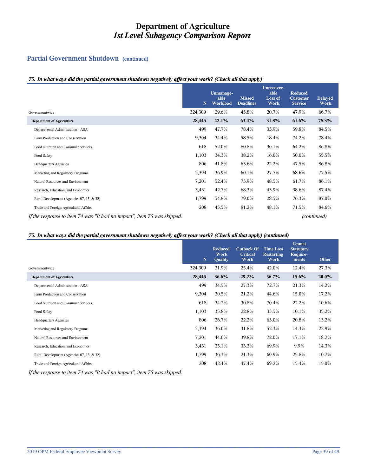## **Partial Government Shutdown (continued)**

#### *75. In what ways did the partial government shutdown negatively affect your work? (Check all that apply)*

|                                                                         | $\mathbf N$ | Unmanage-<br>able<br>Workload | <b>Missed</b><br><b>Deadlines</b> | Unrecover-<br>able<br>Loss of<br>Work | Reduced<br><b>Customer</b><br><b>Service</b> | <b>Delayed</b><br>Work |
|-------------------------------------------------------------------------|-------------|-------------------------------|-----------------------------------|---------------------------------------|----------------------------------------------|------------------------|
| Governmentwide                                                          | 324,309     | 29.6%                         | 45.8%                             | 20.7%                                 | 47.9%                                        | 66.7%                  |
| <b>Department of Agriculture</b>                                        | 28,445      | 42.1%                         | 63.4%                             | 31.8%                                 | 61.6%                                        | 78.3%                  |
| Departmental Administration - ASA                                       | 499         | 47.7%                         | 78.4%                             | 33.9%                                 | 59.8%                                        | 84.5%                  |
| Farm Production and Conservation                                        | 9,304       | 34.4%                         | 58.5%                             | 18.4%                                 | 74.2%                                        | 78.4%                  |
| Food Nutrition and Consumer Services                                    | 618         | 52.0%                         | 80.8%                             | 30.1%                                 | 64.2%                                        | 86.8%                  |
| Food Safety                                                             | 1,103       | 34.3%                         | 38.2%                             | 16.0%                                 | 50.0%                                        | 55.5%                  |
| <b>Headquarters Agencies</b>                                            | 806         | 41.8%                         | 63.6%                             | 22.2%                                 | 47.5%                                        | 86.8%                  |
| Marketing and Regulatory Programs                                       | 2,394       | 36.9%                         | 60.1%                             | 27.7%                                 | 68.6%                                        | 77.5%                  |
| Natural Resources and Environment                                       | 7,201       | 52.4%                         | 73.9%                             | 48.5%                                 | 61.7%                                        | 86.1%                  |
| Research, Education, and Economics                                      | 3,431       | 42.7%                         | 68.3%                             | 43.9%                                 | 38.6%                                        | 87.4%                  |
| Rural Development (Agencies 07, 15, & 32)                               | 1,799       | 54.8%                         | 79.0%                             | 28.5%                                 | 76.3%                                        | 87.0%                  |
| Trade and Foreign Agricultural Affairs                                  | 208         | 45.5%                         | 81.2%                             | 48.1%                                 | 71.5%                                        | 84.6%                  |
| If the response to item 74 was "It had no impact", item 75 was skipped. |             |                               |                                   |                                       |                                              | (continued)            |

#### *75. In what ways did the partial government shutdown negatively affect your work? (Check all that apply) (continued)*

|                                           | $\mathbf N$ | <b>Reduced</b><br>Work<br>Quality | <b>Cutback Of</b><br><b>Critical</b><br>Work | <b>Time Lost</b><br><b>Restarting</b><br>Work | <b>Unmet</b><br><b>Statutory</b><br>Require-<br>ments | Other |
|-------------------------------------------|-------------|-----------------------------------|----------------------------------------------|-----------------------------------------------|-------------------------------------------------------|-------|
| Governmentwide                            | 324,309     | 31.9%                             | 25.4%                                        | 42.0%                                         | 12.4%                                                 | 27.3% |
| <b>Department of Agriculture</b>          | 28,445      | $36.6\%$                          | 29.2%                                        | 56.7%                                         | $15.6\%$                                              | 20.0% |
| Departmental Administration - ASA         | 499         | 34.5%                             | 27.3%                                        | 72.7%                                         | 21.3%                                                 | 14.2% |
| Farm Production and Conservation          | 9,304       | 30.5%                             | 21.2%                                        | 44.6%                                         | 15.0%                                                 | 17.2% |
| Food Nutrition and Consumer Services      | 618         | 34.2%                             | 30.8%                                        | 70.4%                                         | 22.2%                                                 | 10.6% |
| Food Safety                               | 1,103       | 35.8%                             | 22.8%                                        | 33.5%                                         | 10.1%                                                 | 35.2% |
| <b>Headquarters Agencies</b>              | 806         | 26.7%                             | 22.2%                                        | 63.0%                                         | 20.8%                                                 | 13.2% |
| Marketing and Regulatory Programs         | 2,394       | 36.0%                             | 31.8%                                        | 52.3%                                         | 14.3%                                                 | 22.9% |
| Natural Resources and Environment         | 7,201       | 44.6%                             | 39.8%                                        | 72.0%                                         | 17.1%                                                 | 18.2% |
| Research, Education, and Economics        | 3,431       | 35.1%                             | 33.3%                                        | 69.9%                                         | 9.9%                                                  | 14.3% |
| Rural Development (Agencies 07, 15, & 32) | 1,799       | 36.3%                             | 21.3%                                        | 60.9%                                         | 25.8%                                                 | 10.7% |
| Trade and Foreign Agricultural Affairs    | 208         | 42.4%                             | 47.4%                                        | 69.2%                                         | 15.4%                                                 | 15.0% |
|                                           |             |                                   |                                              |                                               |                                                       |       |

**\_\_\_\_\_\_\_\_\_\_\_\_\_\_\_\_\_\_\_\_\_\_\_\_\_\_\_\_\_\_\_\_\_\_\_\_\_\_\_\_\_\_\_\_\_\_\_\_\_\_\_\_\_\_\_\_\_\_\_\_\_\_\_\_\_\_\_\_\_\_\_\_\_\_\_\_\_\_\_\_\_\_\_\_\_\_\_\_\_\_\_\_\_\_\_\_\_\_\_\_\_\_\_\_\_\_\_\_\_\_\_\_\_\_\_\_\_\_\_\_**

*If the response to item 74 was "It had no impact", item 75 was skipped.*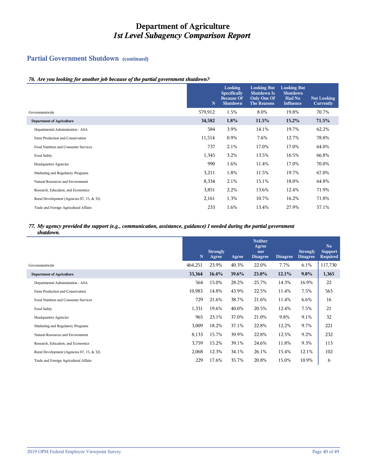## **Partial Government Shutdown (continued)**

#### *76. Are you looking for another job because of the partial government shutdown?*

|                                           | N       | Looking<br><b>Specifically</b><br><b>Because Of</b><br><b>Shutdown</b> | <b>Looking But</b><br><b>Shutdown Is</b><br>Only One Of<br><b>The Reasons</b> | <b>Looking But</b><br><b>Shutdown</b><br>Had No<br><b>Influence</b> | <b>Not Looking</b><br>Currently |
|-------------------------------------------|---------|------------------------------------------------------------------------|-------------------------------------------------------------------------------|---------------------------------------------------------------------|---------------------------------|
| Governmentwide                            | 579,912 | 1.5%                                                                   | 8.0%                                                                          | 19.8%                                                               | 70.7%                           |
| <b>Department of Agriculture</b>          | 34,582  | 1.8%                                                                   | 11.5%                                                                         | 15.2%                                                               | 71.5%                           |
| Departmental Administration - ASA         | 584     | 3.9%                                                                   | 14.1%                                                                         | 19.7%                                                               | 62.2%                           |
| Farm Production and Conservation          | 11,514  | 0.9%                                                                   | 7.6%                                                                          | 12.7%                                                               | 78.8%                           |
| Food Nutrition and Consumer Services      | 737     | 2.1%                                                                   | 17.0%                                                                         | 17.0%                                                               | 64.0%                           |
| Food Safety                               | 1,345   | 3.2%                                                                   | 13.5%                                                                         | 16.5%                                                               | 66.8%                           |
| <b>Headquarters Agencies</b>              | 990     | 1.6%                                                                   | 11.4%                                                                         | 17.0%                                                               | 70.0%                           |
| Marketing and Regulatory Programs         | 3,211   | 1.8%                                                                   | 11.5%                                                                         | 19.7%                                                               | 67.0%                           |
| Natural Resources and Environment         | 8,334   | 2.1%                                                                   | 15.1%                                                                         | 18.0%                                                               | 64.8%                           |
| Research, Education, and Economics        | 3,851   | 2.2%                                                                   | 13.6%                                                                         | 12.4%                                                               | 71.9%                           |
| Rural Development (Agencies 07, 15, & 32) | 2,161   | 1.3%                                                                   | 10.7%                                                                         | 16.2%                                                               | 71.8%                           |
| Trade and Foreign Agricultural Affairs    | 233     | 1.6%                                                                   | 13.4%                                                                         | 27.9%                                                               | 57.1%                           |

#### *77. My agency provided the support (e.g., communication, assistance, guidance) I needed during the partial government shutdown.*

|                                           | N       | <b>Strongly</b><br>Agree | Agree | <b>Neither</b><br>Agree<br>nor<br><b>Disagree</b> | <b>Disagree</b> | <b>Strongly</b><br><b>Disagree</b> | N <sub>o</sub><br><b>Support</b><br><b>Required</b> |
|-------------------------------------------|---------|--------------------------|-------|---------------------------------------------------|-----------------|------------------------------------|-----------------------------------------------------|
| Governmentwide                            | 464,251 | 23.9%                    | 40.3% | 22.0%                                             | 7.7%            | $6.1\%$                            | 117,730                                             |
| <b>Department of Agriculture</b>          | 33,364  | 16.4%                    | 39.6% | 23.0%                                             | 12.1%           | $9.0\%$                            | 1,365                                               |
| Departmental Administration - ASA         | 564     | 15.0%                    | 28.2% | 25.7%                                             | 14.3%           | 16.9%                              | 22                                                  |
| Farm Production and Conservation          | 10,983  | 14.8%                    | 43.9% | 22.5%                                             | 11.4%           | 7.5%                               | 563                                                 |
| Food Nutrition and Consumer Services      | 729     | 21.6%                    | 38.7% | 21.6%                                             | 11.4%           | $6.6\%$                            | 16                                                  |
| Food Safety                               | 1,331   | 19.6%                    | 40.0% | 20.5%                                             | 12.4%           | 7.5%                               | 21                                                  |
| <b>Headquarters Agencies</b>              | 965     | 23.1%                    | 37.0% | 21.0%                                             | 9.8%            | 9.1%                               | 32                                                  |
| Marketing and Regulatory Programs         | 3,009   | 18.2%                    | 37.1% | 22.8%                                             | 12.2%           | 9.7%                               | 221                                                 |
| Natural Resources and Environment         | 8,133   | 15.7%                    | 39.9% | 22.8%                                             | 12.5%           | 9.2%                               | 232                                                 |
| Research, Education, and Economics        | 3,759   | 15.2%                    | 39.1% | 24.6%                                             | 11.8%           | 9.3%                               | 113                                                 |
| Rural Development (Agencies 07, 15, & 32) | 2,068   | 12.3%                    | 34.1% | 26.1%                                             | 15.4%           | 12.1%                              | 102                                                 |
| Trade and Foreign Agricultural Affairs    | 229     | 17.6%                    | 35.7% | 20.8%                                             | 15.0%           | 10.9%                              | 6                                                   |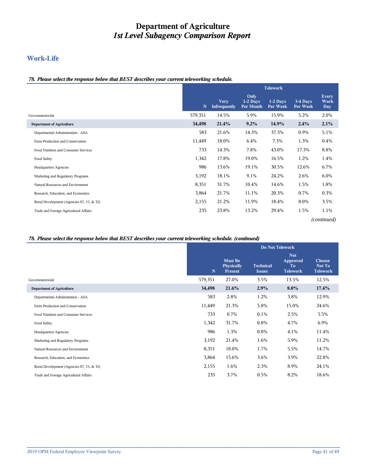## **Work-Life**

#### *78. Please select the response below that BEST describes your current teleworking schedule.*

|                                           | <b>Telework</b> |                                    |                                      |                      |                      |                                    |  |
|-------------------------------------------|-----------------|------------------------------------|--------------------------------------|----------------------|----------------------|------------------------------------|--|
|                                           | N               | <b>Very</b><br><b>Infrequently</b> | Only<br>1-2 Days<br><b>Per Month</b> | 1-2 Days<br>Per Week | 3-4 Days<br>Per Week | <b>Every</b><br><b>Work</b><br>Day |  |
| Governmentwide                            | 579,351         | 14.5%                              | 5.9%                                 | 15.9%                | 5.2%                 | 2.0%                               |  |
| <b>Department of Agriculture</b>          | 34,498          | 21.4%                              | $9.2\%$                              | 14.9%                | 2.4%                 | 2.1%                               |  |
| Departmental Administration - ASA         | 583             | 21.6%                              | 14.3%                                | 37.3%                | 0.9%                 | 5.1%                               |  |
| Farm Production and Conservation          | 11,449          | 18.0%                              | 6.4%                                 | 7.3%                 | 1.3%                 | $0.4\%$                            |  |
| Food Nutrition and Consumer Services      | 733             | 14.3%                              | 7.8%                                 | 43.0%                | 17.3%                | 8.8%                               |  |
| Food Safety                               | 1,342           | 17.8%                              | 19.0%                                | 16.5%                | 1.2%                 | 1.4%                               |  |
| <b>Headquarters Agencies</b>              | 986             | 13.6%                              | 19.1%                                | 30.5%                | 12.6%                | 6.7%                               |  |
| Marketing and Regulatory Programs         | 3,192           | 18.1%                              | 9.1%                                 | 24.2%                | 2.6%                 | $6.0\%$                            |  |
| Natural Resources and Environment         | 8,351           | 31.7%                              | 10.4%                                | 14.6%                | 1.5%                 | 1.8%                               |  |
| Research, Education, and Economics        | 3,864           | 21.7%                              | 11.1%                                | 20.3%                | 0.7%                 | 0.3%                               |  |
| Rural Development (Agencies 07, 15, & 32) | 2,155           | 21.2%                              | 11.9%                                | 18.4%                | 8.0%                 | 3.5%                               |  |
| Trade and Foreign Agricultural Affairs    | 235             | 23.8%                              | 13.2%                                | 29.4%                | 1.5%                 | 1.1%                               |  |
|                                           |                 |                                    |                                      |                      |                      | (continued)                        |  |

#### *78. Please select the response below that BEST describes your current teleworking schedule. (continued)*

|                                           |             |                                                       |                                   | <b>Do Not Telework</b>                          |                                     |
|-------------------------------------------|-------------|-------------------------------------------------------|-----------------------------------|-------------------------------------------------|-------------------------------------|
|                                           | $\mathbf N$ | <b>Must Be</b><br><b>Physically</b><br><b>Present</b> | <b>Technical</b><br><b>Issues</b> | <b>Not</b><br>Approved<br>To<br><b>Telework</b> | Choose<br>Not To<br><b>Telework</b> |
| Governmentwide                            | 579,351     | 27.0%                                                 | 3.5%                              | 13.5%                                           | 12.5%                               |
| <b>Department of Agriculture</b>          | 34,498      | 21.6%                                                 | 2.9%                              | $8.0\%$                                         | 17.4%                               |
| Departmental Administration - ASA         | 583         | 2.8%                                                  | 1.2%                              | 3.8%                                            | 12.9%                               |
| Farm Production and Conservation          | 11,449      | 21.3%                                                 | 5.8%                              | 15.0%                                           | 24.6%                               |
| Food Nutrition and Consumer Services      | 733         | 0.7%                                                  | 0.1%                              | 2.5%                                            | 5.5%                                |
| Food Safety                               | 1,342       | 31.7%                                                 | 0.8%                              | 4.7%                                            | 6.9%                                |
| Headquarters Agencies                     | 986         | 1.3%                                                  | 0.8%                              | 4.1%                                            | 11.4%                               |
| Marketing and Regulatory Programs         | 3,192       | 21.4%                                                 | 1.6%                              | 5.9%                                            | 11.2%                               |
| Natural Resources and Environment         | 8,351       | 18.0%                                                 | 1.7%                              | 5.5%                                            | 14.7%                               |
| Research, Education, and Economics        | 3,864       | 15.6%                                                 | $3.6\%$                           | 3.9%                                            | 22.8%                               |
| Rural Development (Agencies 07, 15, & 32) | 2,155       | 1.6%                                                  | 2.3%                              | 8.9%                                            | 24.1%                               |
| Trade and Foreign Agricultural Affairs    | 235         | 3.7%                                                  | 0.5%                              | 8.2%                                            | 18.6%                               |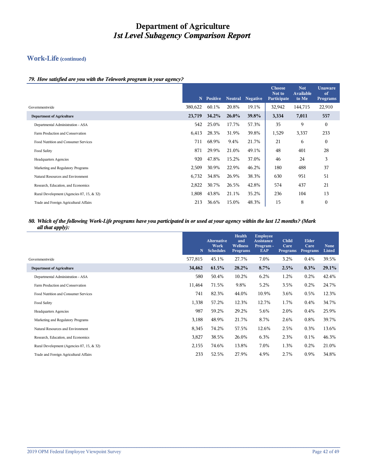## **Work-Life (continued)**

#### *79. How satisfied are you with the Telework program in your agency?*

|                                           | N       | <b>Positive</b> | <b>Neutral</b> | <b>Negative</b> | <b>Choose</b><br>Not to<br>Participate | <b>Not</b><br><b>Available</b><br>to Me | <b>Unaware</b><br>of<br><b>Programs</b> |
|-------------------------------------------|---------|-----------------|----------------|-----------------|----------------------------------------|-----------------------------------------|-----------------------------------------|
| Governmentwide                            | 380,622 | 60.1%           | 20.8%          | 19.1%           | 32,942                                 | 144,715                                 | 22,910                                  |
| <b>Department of Agriculture</b>          | 23,719  | $34.2\%$        | $26.0\%$       | 39.8%           | 3,334                                  | 7,011                                   | 557                                     |
| Departmental Administration - ASA         | 542     | 25.0%           | 17.7%          | 57.3%           | 35                                     | 9                                       | $\mathbf{0}$                            |
| Farm Production and Conservation          | 6,413   | 28.3%           | 31.9%          | 39.8%           | 1,529                                  | 3,337                                   | 233                                     |
| Food Nutrition and Consumer Services      | 711     | 68.9%           | 9.4%           | 21.7%           | 21                                     | 6                                       | $\mathbf{0}$                            |
| Food Safety                               | 871     | 29.9%           | 21.0%          | 49.1%           | 48                                     | 401                                     | 28                                      |
| <b>Headquarters Agencies</b>              | 920     | 47.8%           | 15.2%          | 37.0%           | 46                                     | 24                                      | 3                                       |
| Marketing and Regulatory Programs         | 2,509   | 30.9%           | 22.9%          | 46.2%           | 180                                    | 488                                     | 37                                      |
| Natural Resources and Environment         | 6,732   | 34.8%           | 26.9%          | 38.3%           | 630                                    | 951                                     | 51                                      |
| Research, Education, and Economics        | 2,822   | 30.7%           | 26.5%          | 42.8%           | 574                                    | 437                                     | 21                                      |
| Rural Development (Agencies 07, 15, & 32) | 1,808   | 43.8%           | 21.1%          | 35.2%           | 236                                    | 104                                     | 13                                      |
| Trade and Foreign Agricultural Affairs    | 213     | 36.6%           | 15.0%          | 48.3%           | 15                                     | 8                                       | $\overline{0}$                          |

#### *80. Which of the following Work-Life programs have you participated in or used at your agency within the last 12 months? (Mark all that apply):*

|                                           | N       | <b>Alternative</b><br>Work<br><b>Schedules</b> | <b>Health</b><br>and<br><b>Wellness</b><br><b>Programs</b> | <b>Employee</b><br><b>Assistance</b><br>Program -<br>EAP | <b>Child</b><br>Care<br><b>Programs</b> | Elder<br>Care<br>Programs | None<br>Listed |
|-------------------------------------------|---------|------------------------------------------------|------------------------------------------------------------|----------------------------------------------------------|-----------------------------------------|---------------------------|----------------|
| Governmentwide                            | 577,815 | 45.1%                                          | 27.7%                                                      | 7.0%                                                     | 3.2%                                    | 0.4%                      | 39.5%          |
| <b>Department of Agriculture</b>          | 34,462  | 61.5%                                          | 28.2%                                                      | 8.7%                                                     | 2.5%                                    | $0.3\%$                   | 29.1%          |
| Departmental Administration - ASA         | 580     | 50.4%                                          | 10.2%                                                      | 6.2%                                                     | 1.2%                                    | 0.2%                      | 42.4%          |
| Farm Production and Conservation          | 11,464  | 71.5%                                          | 9.8%                                                       | 5.2%                                                     | 3.5%                                    | 0.2%                      | 24.7%          |
| Food Nutrition and Consumer Services      | 741     | 82.3%                                          | 44.0%                                                      | 10.9%                                                    | 3.6%                                    | 0.5%                      | 12.3%          |
| Food Safety                               | 1,338   | 57.2%                                          | 12.3%                                                      | 12.7%                                                    | 1.7%                                    | $0.4\%$                   | 34.7%          |
| <b>Headquarters Agencies</b>              | 987     | 59.2%                                          | 29.2%                                                      | 5.6%                                                     | 2.0%                                    | $0.4\%$                   | 25.9%          |
| Marketing and Regulatory Programs         | 3,188   | 48.9%                                          | 21.7%                                                      | 8.7%                                                     | 2.6%                                    | $0.8\%$                   | 39.7%          |
| Natural Resources and Environment         | 8,345   | 74.2%                                          | 57.5%                                                      | 12.6%                                                    | 2.5%                                    | 0.3%                      | 13.6%          |
| Research, Education, and Economics        | 3,827   | 38.5%                                          | 26.0%                                                      | 6.3%                                                     | 2.3%                                    | $0.1\%$                   | 46.3%          |
| Rural Development (Agencies 07, 15, & 32) | 2,155   | 74.6%                                          | 13.8%                                                      | 7.0%                                                     | 1.3%                                    | 0.2%                      | 21.0%          |
| Trade and Foreign Agricultural Affairs    | 233     | 52.5%                                          | 27.9%                                                      | 4.9%                                                     | 2.7%                                    | 0.9%                      | 34.8%          |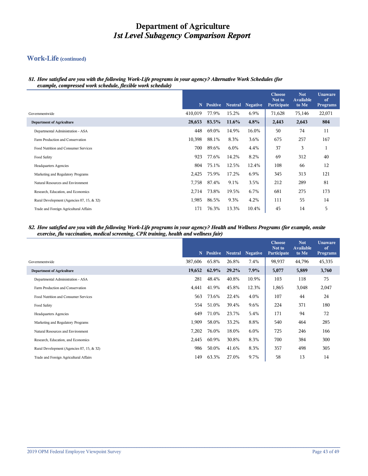## **Work-Life (continued)**

#### *81. How satisfied are you with the following Work-Life programs in your agency? Alternative Work Schedules (for example, compressed work schedule, flexible work schedule)*

|                                           | N       | Positive | <b>Neutral</b> | <b>Negative</b> | <b>Choose</b><br>Not to<br>Participate | <b>Not</b><br>Available<br>to Me | <b>Unaware</b><br>of<br><b>Programs</b> |
|-------------------------------------------|---------|----------|----------------|-----------------|----------------------------------------|----------------------------------|-----------------------------------------|
| Governmentwide                            | 410,019 | 77.9%    | 15.2%          | 6.9%            | 71,628                                 | 75,146                           | 22,071                                  |
| <b>Department of Agriculture</b>          | 28,653  | 83.5%    | 11.6%          | 4.8%            | 2,443                                  | 2,643                            | 804                                     |
| Departmental Administration - ASA         | 448     | 69.0%    | 14.9%          | 16.0%           | 50                                     | 74                               | 11                                      |
| Farm Production and Conservation          | 10,398  | 88.1%    | 8.3%           | 3.6%            | 675                                    | 257                              | 167                                     |
| Food Nutrition and Consumer Services      | 700     | 89.6%    | $6.0\%$        | 4.4%            | 37                                     | 3                                | $\pm$                                   |
| Food Safety                               | 923     | 77.6%    | 14.2%          | 8.2%            | 69                                     | 312                              | 40                                      |
| <b>Headquarters Agencies</b>              | 804     | 75.1%    | 12.5%          | 12.4%           | 108                                    | 66                               | 12                                      |
| Marketing and Regulatory Programs         | 2,425   | 75.9%    | 17.2%          | 6.9%            | 345                                    | 313                              | 121                                     |
| Natural Resources and Environment         | 7,758   | 87.4%    | 9.1%           | 3.5%            | 212                                    | 289                              | 81                                      |
| Research, Education, and Economics        | 2,714   | 73.8%    | 19.5%          | 6.7%            | 681                                    | 275                              | 173                                     |
| Rural Development (Agencies 07, 15, & 32) | 1,985   | 86.5%    | 9.3%           | 4.2%            | 111                                    | 55                               | 14                                      |
| Trade and Foreign Agricultural Affairs    | 171     | 76.3%    | 13.3%          | 10.4%           | 45                                     | 14                               | 5                                       |

#### *82. How satisfied are you with the following Work-Life programs in your agency? Health and Wellness Programs (for example, onsite exercise, flu vaccination, medical screening, CPR training, health and wellness fair)*

|                                           | N       | <b>Positive</b> | <b>Neutral</b> | <b>Negative</b> | <b>Choose</b><br>Not to<br>Participate | <b>Not</b><br><b>Available</b><br>to Me | <b>Unaware</b><br>of<br><b>Programs</b> |
|-------------------------------------------|---------|-----------------|----------------|-----------------|----------------------------------------|-----------------------------------------|-----------------------------------------|
| Governmentwide                            | 387,606 | 65.8%           | 26.8%          | 7.4%            | 98,937                                 | 44,796                                  | 45,335                                  |
| <b>Department of Agriculture</b>          | 19,652  | $62.9\%$        | 29.2%          | 7.9%            | 5,077                                  | 5,889                                   | 3,760                                   |
| Departmental Administration - ASA         | 281     | 48.4%           | 40.8%          | 10.9%           | 103                                    | 118                                     | 75                                      |
| Farm Production and Conservation          | 4,441   | 41.9%           | 45.8%          | 12.3%           | 1,865                                  | 3,048                                   | 2,047                                   |
| Food Nutrition and Consumer Services      | 563     | 73.6%           | 22.4%          | 4.0%            | 107                                    | 44                                      | 24                                      |
| Food Safety                               | 554     | 51.0%           | 39.4%          | 9.6%            | 224                                    | 371                                     | 180                                     |
| <b>Headquarters Agencies</b>              | 649     | 71.0%           | 23.7%          | 5.4%            | 171                                    | 94                                      | 72                                      |
| Marketing and Regulatory Programs         | 1,909   | 58.0%           | 33.2%          | 8.8%            | 540                                    | 464                                     | 285                                     |
| Natural Resources and Environment         | 7,202   | 76.0%           | 18.0%          | 6.0%            | 725                                    | 246                                     | 166                                     |
| Research, Education, and Economics        | 2,445   | 60.9%           | 30.8%          | 8.3%            | 700                                    | 384                                     | 300                                     |
| Rural Development (Agencies 07, 15, & 32) | 986     | 50.0%           | 41.6%          | 8.3%            | 357                                    | 498                                     | 305                                     |
| Trade and Foreign Agricultural Affairs    | 149     | 63.3%           | 27.0%          | 9.7%            | 58                                     | 13                                      | 14                                      |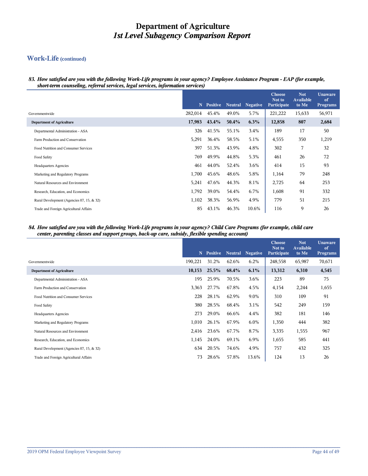## **Work-Life (continued)**

*83. How satisfied are you with the following Work-Life programs in your agency? Employee Assistance Program - EAP (for example, short-term counseling, referral services, legal services, information services)*

|                                           | N       | <b>Positive</b> | <b>Neutral</b> | <b>Negative</b> | <b>Choose</b><br>Not to<br><b>Participate</b> | <b>Not</b><br><b>Available</b><br>to Me | <b>Unaware</b><br>of<br><b>Programs</b> |
|-------------------------------------------|---------|-----------------|----------------|-----------------|-----------------------------------------------|-----------------------------------------|-----------------------------------------|
| Governmentwide                            | 282,014 | 45.4%           | 49.0%          | 5.7%            | 221,222                                       | 15,633                                  | 56,971                                  |
| <b>Department of Agriculture</b>          | 17,983  | 43.4%           | 50.4%          | 6.3%            | 12,858                                        | 807                                     | 2,684                                   |
| Departmental Administration - ASA         | 326     | 41.5%           | 55.1%          | 3.4%            | 189                                           | 17                                      | 50                                      |
| Farm Production and Conservation          | 5,291   | 36.4%           | 58.5%          | 5.1%            | 4,555                                         | 350                                     | 1,219                                   |
| Food Nutrition and Consumer Services      | 397     | 51.3%           | 43.9%          | 4.8%            | 302                                           | 7                                       | 32                                      |
| Food Safety                               | 769     | 49.9%           | 44.8%          | 5.3%            | 461                                           | 26                                      | 72                                      |
| <b>Headquarters Agencies</b>              | 461     | 44.0%           | 52.4%          | 3.6%            | 414                                           | 15                                      | 93                                      |
| Marketing and Regulatory Programs         | 1,700   | 45.6%           | 48.6%          | 5.8%            | 1,164                                         | 79                                      | 248                                     |
| Natural Resources and Environment         | 5,241   | 47.6%           | 44.3%          | 8.1%            | 2,725                                         | 64                                      | 253                                     |
| Research, Education, and Economics        | 1,792   | 39.0%           | 54.4%          | 6.7%            | 1,608                                         | 91                                      | 332                                     |
| Rural Development (Agencies 07, 15, & 32) | 1,102   | 38.3%           | 56.9%          | 4.9%            | 779                                           | 51                                      | 215                                     |
| Trade and Foreign Agricultural Affairs    | 85      | 43.1%           | 46.3%          | 10.6%           | 116                                           | 9                                       | 26                                      |

#### *84. How satisfied are you with the following Work-Life programs in your agency? Child Care Programs (for example, child care center, parenting classes and support groups, back-up care, subsidy, flexible spending account)*

|                                           | N       | Positive | <b>Neutral</b> | <b>Negative</b> | <b>Choose</b><br>Not to<br><b>Participate</b> | <b>Not</b><br><b>Available</b><br>to Me | <b>Unaware</b><br>of<br><b>Programs</b> |
|-------------------------------------------|---------|----------|----------------|-----------------|-----------------------------------------------|-----------------------------------------|-----------------------------------------|
| Governmentwide                            | 190,221 | 31.2%    | 62.6%          | 6.2%            | 248,558                                       | 65,987                                  | 70,671                                  |
| <b>Department of Agriculture</b>          | 10,153  | 25.5%    | 68.4%          | 6.1%            | 13,312                                        | 6,310                                   | 4,545                                   |
| Departmental Administration - ASA         | 195     | 25.9%    | 70.5%          | 3.6%            | 223                                           | 89                                      | 75                                      |
| Farm Production and Conservation          | 3,363   | 27.7%    | 67.8%          | 4.5%            | 4,154                                         | 2,244                                   | 1,655                                   |
| Food Nutrition and Consumer Services      | 228     | 28.1%    | 62.9%          | 9.0%            | 310                                           | 109                                     | 91                                      |
| Food Safety                               | 380     | 28.5%    | 68.4%          | 3.1%            | 542                                           | 249                                     | 159                                     |
| <b>Headquarters Agencies</b>              | 273     | 29.0%    | 66.6%          | 4.4%            | 382                                           | 181                                     | 146                                     |
| Marketing and Regulatory Programs         | 1,010   | 26.1%    | 67.9%          | 6.0%            | 1,350                                         | 444                                     | 382                                     |
| Natural Resources and Environment         | 2,416   | 23.6%    | 67.7%          | 8.7%            | 3,335                                         | 1,555                                   | 967                                     |
| Research, Education, and Economics        | 1,145   | 24.0%    | 69.1%          | 6.9%            | 1,655                                         | 585                                     | 441                                     |
| Rural Development (Agencies 07, 15, & 32) | 634     | 20.5%    | 74.6%          | 4.9%            | 757                                           | 432                                     | 325                                     |
| Trade and Foreign Agricultural Affairs    | 73      | 28.6%    | 57.8%          | 13.6%           | 124                                           | 13                                      | 26                                      |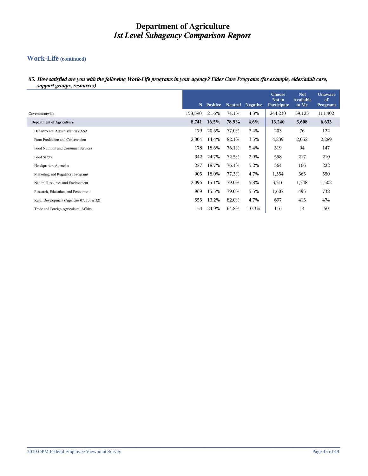## **Work-Life (continued)**

*85. How satisfied are you with the following Work-Life programs in your agency? Elder Care Programs (for example, elder/adult care, support groups, resources)*

|                                           | N       | <b>Positive</b> | <b>Neutral</b> | <b>Negative</b> | <b>Choose</b><br>Not to<br>Participate | <b>Not</b><br><b>Available</b><br>to Me | <b>Unaware</b><br>of<br><b>Programs</b> |
|-------------------------------------------|---------|-----------------|----------------|-----------------|----------------------------------------|-----------------------------------------|-----------------------------------------|
| Governmentwide                            | 158,590 | 21.6%           | 74.1%          | 4.3%            | 244,230                                | 59,125                                  | 111,402                                 |
| <b>Department of Agriculture</b>          | 8,741   | 16.5%           | 78.9%          | 4.6%            | 13,240                                 | 5,608                                   | 6,633                                   |
| Departmental Administration - ASA         | 179     | 20.5%           | 77.0%          | 2.4%            | 203                                    | 76                                      | 122                                     |
| Farm Production and Conservation          | 2,804   | 14.4%           | 82.1%          | 3.5%            | 4,239                                  | 2,052                                   | 2,289                                   |
| Food Nutrition and Consumer Services      | 178     | 18.6%           | 76.1%          | 5.4%            | 319                                    | 94                                      | 147                                     |
| Food Safety                               | 342     | 24.7%           | 72.5%          | 2.9%            | 558                                    | 217                                     | 210                                     |
| <b>Headquarters Agencies</b>              | 227     | 18.7%           | 76.1%          | 5.2%            | 364                                    | 166                                     | 222                                     |
| Marketing and Regulatory Programs         | 905     | 18.0%           | 77.3%          | 4.7%            | 1,354                                  | 363                                     | 550                                     |
| Natural Resources and Environment         | 2,096   | 15.1%           | 79.0%          | 5.8%            | 3,316                                  | 1,348                                   | 1,502                                   |
| Research, Education, and Economics        | 969     | 15.5%           | 79.0%          | 5.5%            | 1,607                                  | 495                                     | 738                                     |
| Rural Development (Agencies 07, 15, & 32) | 555     | 13.2%           | 82.0%          | 4.7%            | 697                                    | 413                                     | 474                                     |
| Trade and Foreign Agricultural Affairs    | 54      | 24.9%           | 64.8%          | 10.3%           | 116                                    | 14                                      | 50                                      |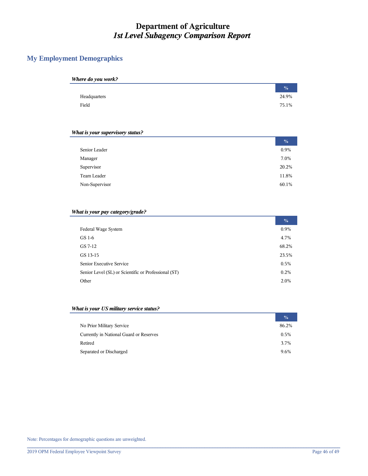## **My Employment Demographics**

| Where do you work? |               |
|--------------------|---------------|
|                    | $\frac{0}{0}$ |
| Headquarters       | 24.9%         |
| Field              | 75.1%         |

#### *What is your supervisory status?*

|                | $\frac{0}{0}$ |
|----------------|---------------|
| Senior Leader  | 0.9%          |
| Manager        | 7.0%          |
| Supervisor     | 20.2%         |
| Team Leader    | 11.8%         |
| Non-Supervisor | 60.1%         |

#### *What is your pay category/grade?*

|                                                      | $\frac{0}{0}$ |
|------------------------------------------------------|---------------|
| Federal Wage System                                  | 0.9%          |
| GS 1-6                                               | 4.7%          |
| GS 7-12                                              | 68.2%         |
| GS 13-15                                             | 23.5%         |
| Senior Executive Service                             | 0.5%          |
| Senior Level (SL) or Scientific or Professional (ST) | 0.2%          |
| Other                                                | 2.0%          |

#### *What is your US military service status?*

|                                         | $\frac{0}{0}$ |
|-----------------------------------------|---------------|
| No Prior Military Service               | 86.2%         |
| Currently in National Guard or Reserves | 0.5%          |
| Retired                                 | 3.7%          |
| Separated or Discharged                 | 9.6%          |

**\_\_\_\_\_\_\_\_\_\_\_\_\_\_\_\_\_\_\_\_\_\_\_\_\_\_\_\_\_\_\_\_\_\_\_\_\_\_\_\_\_\_\_\_\_\_\_\_\_\_\_\_\_\_\_\_\_\_\_\_\_\_\_\_\_\_\_\_\_\_\_\_\_\_\_\_\_\_\_\_\_\_\_\_\_\_\_\_\_\_\_\_\_\_\_\_\_\_\_\_\_\_\_\_\_\_\_\_\_\_\_\_\_\_\_\_\_\_\_\_**

Note: Percentages for demographic questions are unweighted.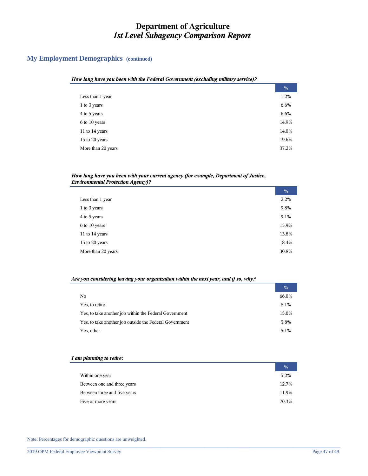## **My Employment Demographics (continued)**

| ow iong nuve you been wan ine r eaerui Government (excluumg muuury service); |               |
|------------------------------------------------------------------------------|---------------|
|                                                                              | $\frac{0}{0}$ |
| Less than 1 year                                                             | 1.2%          |
| 1 to 3 years                                                                 | 6.6%          |
| 4 to 5 years                                                                 | 6.6%          |
| 6 to 10 years                                                                | 14.9%         |
| 11 to 14 years                                                               | 14.0%         |
| 15 to 20 years                                                               | 19.6%         |
| More than 20 years                                                           | 37.2%         |
|                                                                              |               |

# *How long have you been with the Federal Government (excluding military service)?*

#### *How long have you been with your current agency (for example, Department of Justice, Environmental Protection Agency)?*

|                    | $\frac{0}{0}$ |
|--------------------|---------------|
| Less than 1 year   | 2.2%          |
| 1 to 3 years       | 9.8%          |
| 4 to 5 years       | 9.1%          |
| 6 to 10 years      | 15.9%         |
| 11 to 14 years     | 13.8%         |
| 15 to 20 years     | 18.4%         |
| More than 20 years | 30.8%         |

#### *Are you considering leaving your organization within the next year, and if so, why?*

|                                                         | $\frac{0}{0}$ |
|---------------------------------------------------------|---------------|
| No                                                      | 66.0%         |
| Yes, to retire                                          | 8.1%          |
| Yes, to take another job within the Federal Government  | 15.0%         |
| Yes, to take another job outside the Federal Government | 5.8%          |
| Yes, other                                              | 5.1%          |

#### *I am planning to retire:*

|                              | $\frac{0}{0}$ |
|------------------------------|---------------|
| Within one year              | 5.2%          |
| Between one and three years  | 12.7%         |
| Between three and five years | 11.9%         |
| Five or more years           | 70.3%         |

**\_\_\_\_\_\_\_\_\_\_\_\_\_\_\_\_\_\_\_\_\_\_\_\_\_\_\_\_\_\_\_\_\_\_\_\_\_\_\_\_\_\_\_\_\_\_\_\_\_\_\_\_\_\_\_\_\_\_\_\_\_\_\_\_\_\_\_\_\_\_\_\_\_\_\_\_\_\_\_\_\_\_\_\_\_\_\_\_\_\_\_\_\_\_\_\_\_\_\_\_\_\_\_\_\_\_\_\_\_\_\_\_\_\_\_\_\_\_\_\_**

Note: Percentages for demographic questions are unweighted.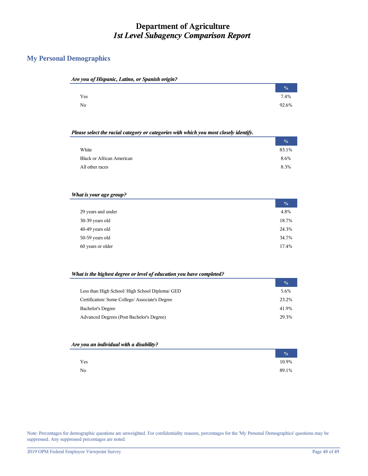## **My Personal Demographics**

| Are you of Hispanic, Latino, or Spanish origin? |               |
|-------------------------------------------------|---------------|
|                                                 | $\frac{0}{0}$ |
| Yes                                             | 7.4%          |
| No                                              | 92.6%         |

#### *Please select the racial category or categories with which you most closely identify.*

|                                  | $\frac{0}{0}$ |
|----------------------------------|---------------|
| White                            | 83.1%         |
| <b>Black or African American</b> | 8.6%          |
| All other races                  | 8.3%          |

#### *What is your age group?*

|                    | $\frac{0}{0}$ |
|--------------------|---------------|
| 29 years and under | 4.8%          |
| 30-39 years old    | 18.7%         |
| 40-49 years old    | 24.3%         |
| 50-59 years old    | 34.7%         |
| 60 years or older  | 17.4%         |

#### *What is the highest degree or level of education you have completed?*

|                                               | $\frac{0}{0}$ |
|-----------------------------------------------|---------------|
| Less than High School/High School Diploma/GED | 5.6%          |
| Certification/Some College/Associate's Degree | 23.2%         |
| <b>Bachelor's Degree</b>                      | 41.9%         |
| Advanced Degrees (Post Bachelor's Degree)     | 29.3%         |

#### *Are you an individual with a disability?*

|     | $\frac{0}{2}$ |
|-----|---------------|
| Yes | 10.9%         |
| No  | 89.1%         |

Note: Percentages for demographic questions are unweighted. For confidentiality reasons, percentages for the 'My Personal Demographics' questions may be suppressed. Any suppressed percentages are noted.